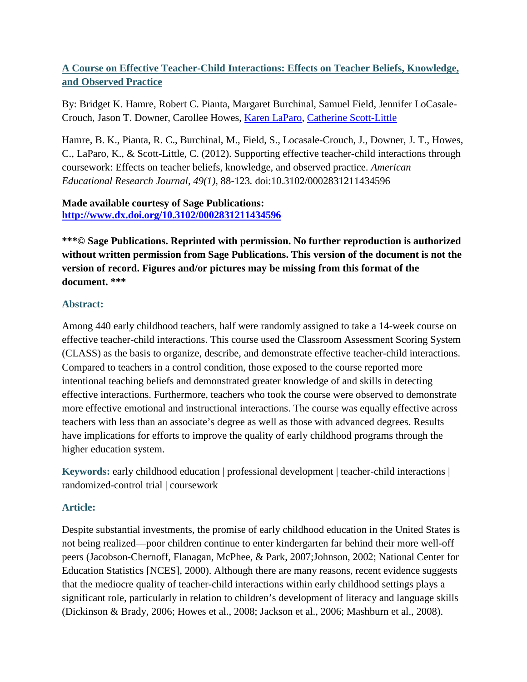# **A Course on Effective Teacher-Child Interactions: Effects on Teacher Beliefs, Knowledge, and Observed Practice**

By: Bridget K. Hamre, Robert C. Pianta, Margaret Burchinal, Samuel Field, Jennifer LoCasale-Crouch, Jason T. Downer, Carollee Howes, [Karen LaParo,](https://libres.uncg.edu/ir/uncg/clist.aspx?id=1297) [Catherine Scott-Little](https://libres.uncg.edu/ir/uncg/clist.aspx?id=1193)

Hamre, B. K., Pianta, R. C., Burchinal, M., Field, S., Locasale-Crouch, J., Downer, J. T., Howes, C., LaParo, K., & Scott-Little, C. (2012). Supporting effective teacher-child interactions through coursework: Effects on teacher beliefs, knowledge, and observed practice. *American Educational Research Journal, 49(1),* 88-123*.* doi:10.3102/0002831211434596

#### **Made available courtesy of Sage Publications: <http://www.dx.doi.org/10.3102/0002831211434596>**

**\*\*\*© Sage Publications. Reprinted with permission. No further reproduction is authorized without written permission from Sage Publications. This version of the document is not the version of record. Figures and/or pictures may be missing from this format of the document. \*\*\***

## **Abstract:**

Among 440 early childhood teachers, half were randomly assigned to take a 14-week course on effective teacher-child interactions. This course used the Classroom Assessment Scoring System (CLASS) as the basis to organize, describe, and demonstrate effective teacher-child interactions. Compared to teachers in a control condition, those exposed to the course reported more intentional teaching beliefs and demonstrated greater knowledge of and skills in detecting effective interactions. Furthermore, teachers who took the course were observed to demonstrate more effective emotional and instructional interactions. The course was equally effective across teachers with less than an associate's degree as well as those with advanced degrees. Results have implications for efforts to improve the quality of early childhood programs through the higher education system.

**Keywords:** early childhood education | professional development | teacher-child interactions | randomized-control trial | coursework

## **Article:**

Despite substantial investments, the promise of early childhood education in the United States is not being realized—poor children continue to enter kindergarten far behind their more well-off peers (Jacobson-Chernoff, Flanagan, McPhee, & Park, 2007;Johnson, 2002; National Center for Education Statistics [NCES], 2000). Although there are many reasons, recent evidence suggests that the mediocre quality of teacher-child interactions within early childhood settings plays a significant role, particularly in relation to children's development of literacy and language skills (Dickinson & Brady, 2006; Howes et al., 2008; Jackson et al., 2006; Mashburn et al., 2008).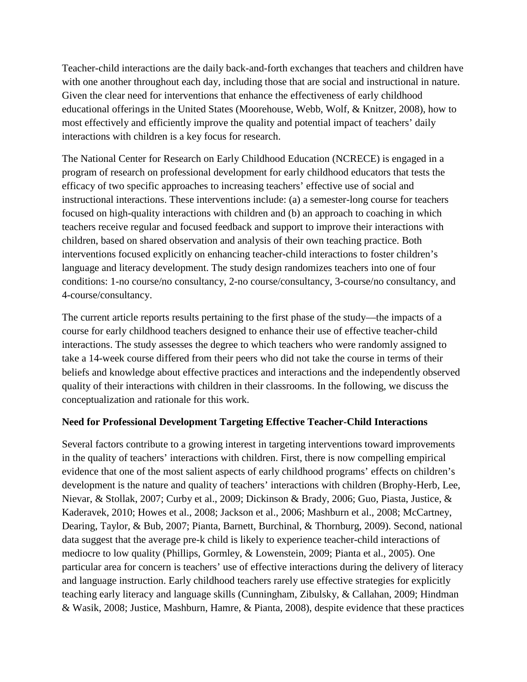Teacher-child interactions are the daily back-and-forth exchanges that teachers and children have with one another throughout each day, including those that are social and instructional in nature. Given the clear need for interventions that enhance the effectiveness of early childhood educational offerings in the United States (Moorehouse, Webb, Wolf, & Knitzer, 2008), how to most effectively and efficiently improve the quality and potential impact of teachers' daily interactions with children is a key focus for research.

The National Center for Research on Early Childhood Education (NCRECE) is engaged in a program of research on professional development for early childhood educators that tests the efficacy of two specific approaches to increasing teachers' effective use of social and instructional interactions. These interventions include: (a) a semester-long course for teachers focused on high-quality interactions with children and (b) an approach to coaching in which teachers receive regular and focused feedback and support to improve their interactions with children, based on shared observation and analysis of their own teaching practice. Both interventions focused explicitly on enhancing teacher-child interactions to foster children's language and literacy development. The study design randomizes teachers into one of four conditions: 1-no course/no consultancy, 2-no course/consultancy, 3-course/no consultancy, and 4-course/consultancy.

The current article reports results pertaining to the first phase of the study—the impacts of a course for early childhood teachers designed to enhance their use of effective teacher-child interactions. The study assesses the degree to which teachers who were randomly assigned to take a 14-week course differed from their peers who did not take the course in terms of their beliefs and knowledge about effective practices and interactions and the independently observed quality of their interactions with children in their classrooms. In the following, we discuss the conceptualization and rationale for this work.

## **Need for Professional Development Targeting Effective Teacher-Child Interactions**

Several factors contribute to a growing interest in targeting interventions toward improvements in the quality of teachers' interactions with children. First, there is now compelling empirical evidence that one of the most salient aspects of early childhood programs' effects on children's development is the nature and quality of teachers' interactions with children (Brophy-Herb, Lee, Nievar, & Stollak, 2007; Curby et al., 2009; Dickinson & Brady, 2006; Guo, Piasta, Justice, & Kaderavek, 2010; Howes et al., 2008; Jackson et al., 2006; Mashburn et al., 2008; McCartney, Dearing, Taylor, & Bub, 2007; Pianta, Barnett, Burchinal, & Thornburg, 2009). Second, national data suggest that the average pre-k child is likely to experience teacher-child interactions of mediocre to low quality (Phillips, Gormley, & Lowenstein, 2009; Pianta et al., 2005). One particular area for concern is teachers' use of effective interactions during the delivery of literacy and language instruction. Early childhood teachers rarely use effective strategies for explicitly teaching early literacy and language skills (Cunningham, Zibulsky, & Callahan, 2009; Hindman & Wasik, 2008; Justice, Mashburn, Hamre, & Pianta, 2008), despite evidence that these practices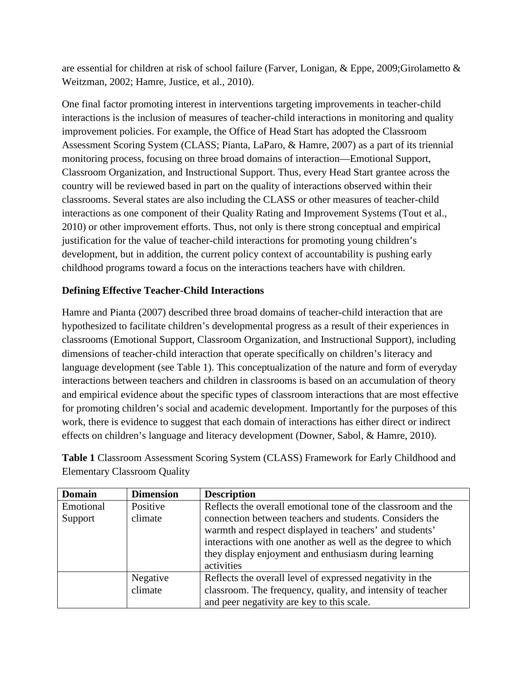are essential for children at risk of school failure (Farver, Lonigan, & Eppe, 2009;Girolametto & Weitzman, 2002; Hamre, Justice, et al., 2010).

One final factor promoting interest in interventions targeting improvements in teacher-child interactions is the inclusion of measures of teacher-child interactions in monitoring and quality improvement policies. For example, the Office of Head Start has adopted the Classroom Assessment Scoring System (CLASS; Pianta, LaParo, & Hamre, 2007) as a part of its triennial monitoring process, focusing on three broad domains of interaction—Emotional Support, Classroom Organization, and Instructional Support. Thus, every Head Start grantee across the country will be reviewed based in part on the quality of interactions observed within their classrooms. Several states are also including the CLASS or other measures of teacher-child interactions as one component of their Quality Rating and Improvement Systems (Tout et al., 2010) or other improvement efforts. Thus, not only is there strong conceptual and empirical justification for the value of teacher-child interactions for promoting young children's development, but in addition, the current policy context of accountability is pushing early childhood programs toward a focus on the interactions teachers have with children.

## **Defining Effective Teacher-Child Interactions**

Hamre and Pianta (2007) described three broad domains of teacher-child interaction that are hypothesized to facilitate children's developmental progress as a result of their experiences in classrooms (Emotional Support, Classroom Organization, and Instructional Support), including dimensions of teacher-child interaction that operate specifically on children's literacy and language development (see Table 1). This conceptualization of the nature and form of everyday interactions between teachers and children in classrooms is based on an accumulation of theory and empirical evidence about the specific types of classroom interactions that are most effective for promoting children's social and academic development. Importantly for the purposes of this work, there is evidence to suggest that each domain of interactions has either direct or indirect effects on children's language and literacy development (Downer, Sabol, & Hamre, 2010).

**Table 1** Classroom Assessment Scoring System (CLASS) Framework for Early Childhood and Elementary Classroom Quality

| <b>Domain</b> | <b>Dimension</b> | <b>Description</b>                                           |
|---------------|------------------|--------------------------------------------------------------|
| Emotional     | Positive         | Reflects the overall emotional tone of the classroom and the |
| Support       | climate          | connection between teachers and students. Considers the      |
|               |                  | warmth and respect displayed in teachers' and students'      |
|               |                  | interactions with one another as well as the degree to which |
|               |                  | they display enjoyment and enthusiasm during learning        |
|               |                  | activities                                                   |
|               | Negative         | Reflects the overall level of expressed negativity in the    |
|               | climate          | classroom. The frequency, quality, and intensity of teacher  |
|               |                  | and peer negativity are key to this scale.                   |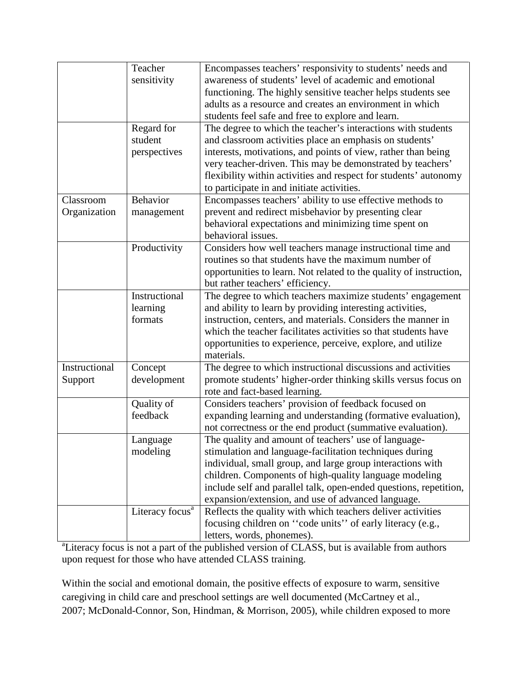|               | Teacher                     | Encompasses teachers' responsivity to students' needs and                                                  |
|---------------|-----------------------------|------------------------------------------------------------------------------------------------------------|
|               | sensitivity                 | awareness of students' level of academic and emotional                                                     |
|               |                             | functioning. The highly sensitive teacher helps students see                                               |
|               |                             | adults as a resource and creates an environment in which                                                   |
|               |                             | students feel safe and free to explore and learn.                                                          |
|               | Regard for                  | The degree to which the teacher's interactions with students                                               |
|               | student                     | and classroom activities place an emphasis on students'                                                    |
|               | perspectives                | interests, motivations, and points of view, rather than being                                              |
|               |                             | very teacher-driven. This may be demonstrated by teachers'                                                 |
|               |                             | flexibility within activities and respect for students' autonomy                                           |
|               |                             | to participate in and initiate activities.                                                                 |
| Classroom     | Behavior                    | Encompasses teachers' ability to use effective methods to                                                  |
| Organization  | management                  | prevent and redirect misbehavior by presenting clear                                                       |
|               |                             | behavioral expectations and minimizing time spent on                                                       |
|               |                             | behavioral issues.                                                                                         |
|               | Productivity                | Considers how well teachers manage instructional time and                                                  |
|               |                             | routines so that students have the maximum number of                                                       |
|               |                             | opportunities to learn. Not related to the quality of instruction,                                         |
|               |                             | but rather teachers' efficiency.                                                                           |
|               | Instructional               | The degree to which teachers maximize students' engagement                                                 |
|               | learning                    | and ability to learn by providing interesting activities,                                                  |
|               | formats                     | instruction, centers, and materials. Considers the manner in                                               |
|               |                             | which the teacher facilitates activities so that students have                                             |
|               |                             | opportunities to experience, perceive, explore, and utilize                                                |
|               |                             | materials.                                                                                                 |
| Instructional | Concept                     | The degree to which instructional discussions and activities                                               |
| Support       | development                 | promote students' higher-order thinking skills versus focus on                                             |
|               |                             | rote and fact-based learning.                                                                              |
|               | Quality of                  | Considers teachers' provision of feedback focused on                                                       |
|               | feedback                    | expanding learning and understanding (formative evaluation),                                               |
|               |                             | not correctness or the end product (summative evaluation).                                                 |
|               | Language                    | The quality and amount of teachers' use of language-                                                       |
|               | modeling                    | stimulation and language-facilitation techniques during                                                    |
|               |                             | individual, small group, and large group interactions with                                                 |
|               |                             | children. Components of high-quality language modeling                                                     |
|               |                             | include self and parallel talk, open-ended questions, repetition,                                          |
|               |                             | expansion/extension, and use of advanced language.                                                         |
|               | Literacy focus <sup>a</sup> | Reflects the quality with which teachers deliver activities                                                |
|               |                             | focusing children on "code units" of early literacy (e.g.,                                                 |
|               |                             | letters, words, phonemes).                                                                                 |
|               |                             | <sup>a</sup> Literacy focus is not a part of the published version of CLASS, but is available from authors |

upon request for those who have attended CLASS training.

Within the social and emotional domain, the positive effects of exposure to warm, sensitive caregiving in child care and preschool settings are well documented (McCartney et al., 2007; McDonald-Connor, Son, Hindman, & Morrison, 2005), while children exposed to more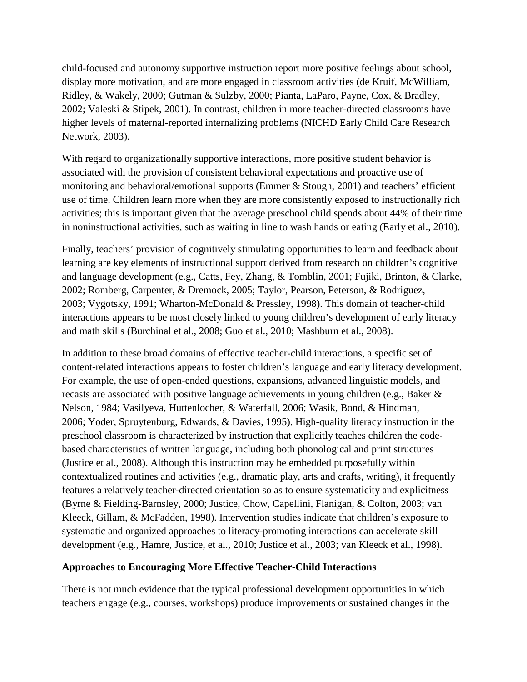child-focused and autonomy supportive instruction report more positive feelings about school, display more motivation, and are more engaged in classroom activities (de Kruif, McWilliam, Ridley, & Wakely, 2000; Gutman & Sulzby, 2000; Pianta, LaParo, Payne, Cox, & Bradley, 2002; Valeski & Stipek, 2001). In contrast, children in more teacher-directed classrooms have higher levels of maternal-reported internalizing problems (NICHD Early Child Care Research Network, 2003).

With regard to organizationally supportive interactions, more positive student behavior is associated with the provision of consistent behavioral expectations and proactive use of monitoring and behavioral/emotional supports (Emmer & Stough, 2001) and teachers' efficient use of time. Children learn more when they are more consistently exposed to instructionally rich activities; this is important given that the average preschool child spends about 44% of their time in noninstructional activities, such as waiting in line to wash hands or eating (Early et al., 2010).

Finally, teachers' provision of cognitively stimulating opportunities to learn and feedback about learning are key elements of instructional support derived from research on children's cognitive and language development (e.g., Catts, Fey, Zhang, & Tomblin, 2001; Fujiki, Brinton, & Clarke, 2002; Romberg, Carpenter, & Dremock, 2005; Taylor, Pearson, Peterson, & Rodriguez, 2003; Vygotsky, 1991; Wharton-McDonald & Pressley, 1998). This domain of teacher-child interactions appears to be most closely linked to young children's development of early literacy and math skills (Burchinal et al., 2008; Guo et al., 2010; Mashburn et al., 2008).

In addition to these broad domains of effective teacher-child interactions, a specific set of content-related interactions appears to foster children's language and early literacy development. For example, the use of open-ended questions, expansions, advanced linguistic models, and recasts are associated with positive language achievements in young children (e.g., Baker & Nelson, 1984; Vasilyeva, Huttenlocher, & Waterfall, 2006; Wasik, Bond, & Hindman, 2006; Yoder, Spruytenburg, Edwards, & Davies, 1995). High-quality literacy instruction in the preschool classroom is characterized by instruction that explicitly teaches children the codebased characteristics of written language, including both phonological and print structures (Justice et al., 2008). Although this instruction may be embedded purposefully within contextualized routines and activities (e.g., dramatic play, arts and crafts, writing), it frequently features a relatively teacher-directed orientation so as to ensure systematicity and explicitness (Byrne & Fielding-Barnsley, 2000; Justice, Chow, Capellini, Flanigan, & Colton, 2003; van Kleeck, Gillam, & McFadden, 1998). Intervention studies indicate that children's exposure to systematic and organized approaches to literacy-promoting interactions can accelerate skill development (e.g., Hamre, Justice, et al., 2010; Justice et al., 2003; van Kleeck et al., 1998).

## **Approaches to Encouraging More Effective Teacher-Child Interactions**

There is not much evidence that the typical professional development opportunities in which teachers engage (e.g., courses, workshops) produce improvements or sustained changes in the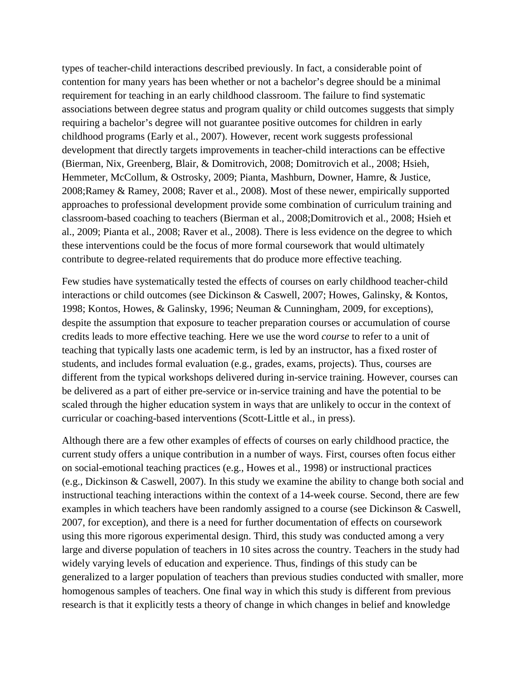types of teacher-child interactions described previously. In fact, a considerable point of contention for many years has been whether or not a bachelor's degree should be a minimal requirement for teaching in an early childhood classroom. The failure to find systematic associations between degree status and program quality or child outcomes suggests that simply requiring a bachelor's degree will not guarantee positive outcomes for children in early childhood programs (Early et al., 2007). However, recent work suggests professional development that directly targets improvements in teacher-child interactions can be effective (Bierman, Nix, Greenberg, Blair, & Domitrovich, 2008; Domitrovich et al., 2008; Hsieh, Hemmeter, McCollum, & Ostrosky, 2009; Pianta, Mashburn, Downer, Hamre, & Justice, 2008;Ramey & Ramey, 2008; Raver et al., 2008). Most of these newer, empirically supported approaches to professional development provide some combination of curriculum training and classroom-based coaching to teachers (Bierman et al., 2008;Domitrovich et al., 2008; Hsieh et al., 2009; Pianta et al., 2008; Raver et al., 2008). There is less evidence on the degree to which these interventions could be the focus of more formal coursework that would ultimately contribute to degree-related requirements that do produce more effective teaching.

Few studies have systematically tested the effects of courses on early childhood teacher-child interactions or child outcomes (see Dickinson & Caswell, 2007; Howes, Galinsky, & Kontos, 1998; Kontos, Howes, & Galinsky, 1996; Neuman & Cunningham, 2009, for exceptions), despite the assumption that exposure to teacher preparation courses or accumulation of course credits leads to more effective teaching. Here we use the word *course* to refer to a unit of teaching that typically lasts one academic term, is led by an instructor, has a fixed roster of students, and includes formal evaluation (e.g., grades, exams, projects). Thus, courses are different from the typical workshops delivered during in-service training. However, courses can be delivered as a part of either pre-service or in-service training and have the potential to be scaled through the higher education system in ways that are unlikely to occur in the context of curricular or coaching-based interventions (Scott-Little et al., in press).

Although there are a few other examples of effects of courses on early childhood practice, the current study offers a unique contribution in a number of ways. First, courses often focus either on social-emotional teaching practices (e.g., Howes et al., 1998) or instructional practices (e.g., Dickinson & Caswell, 2007). In this study we examine the ability to change both social and instructional teaching interactions within the context of a 14-week course. Second, there are few examples in which teachers have been randomly assigned to a course (see Dickinson & Caswell, 2007, for exception), and there is a need for further documentation of effects on coursework using this more rigorous experimental design. Third, this study was conducted among a very large and diverse population of teachers in 10 sites across the country. Teachers in the study had widely varying levels of education and experience. Thus, findings of this study can be generalized to a larger population of teachers than previous studies conducted with smaller, more homogenous samples of teachers. One final way in which this study is different from previous research is that it explicitly tests a theory of change in which changes in belief and knowledge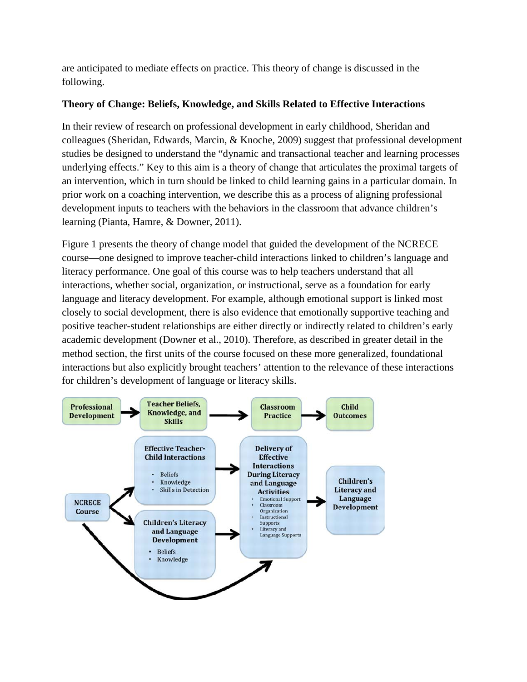are anticipated to mediate effects on practice. This theory of change is discussed in the following.

## **Theory of Change: Beliefs, Knowledge, and Skills Related to Effective Interactions**

In their review of research on professional development in early childhood, Sheridan and colleagues (Sheridan, Edwards, Marcin, & Knoche, 2009) suggest that professional development studies be designed to understand the "dynamic and transactional teacher and learning processes underlying effects." Key to this aim is a theory of change that articulates the proximal targets of an intervention, which in turn should be linked to child learning gains in a particular domain. In prior work on a coaching intervention, we describe this as a process of aligning professional development inputs to teachers with the behaviors in the classroom that advance children's learning (Pianta, Hamre, & Downer, 2011).

Figure 1 presents the theory of change model that guided the development of the NCRECE course—one designed to improve teacher-child interactions linked to children's language and literacy performance. One goal of this course was to help teachers understand that all interactions, whether social, organization, or instructional, serve as a foundation for early language and literacy development. For example, although emotional support is linked most closely to social development, there is also evidence that emotionally supportive teaching and positive teacher-student relationships are either directly or indirectly related to children's early academic development (Downer et al., 2010). Therefore, as described in greater detail in the method section, the first units of the course focused on these more generalized, foundational interactions but also explicitly brought teachers' attention to the relevance of these interactions for children's development of language or literacy skills.

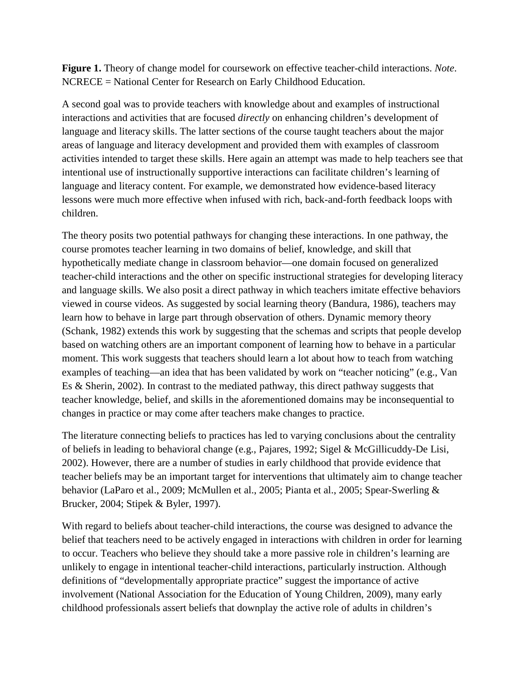**Figure 1.** Theory of change model for coursework on effective teacher-child interactions. *Note*. NCRECE = National Center for Research on Early Childhood Education.

A second goal was to provide teachers with knowledge about and examples of instructional interactions and activities that are focused *directly* on enhancing children's development of language and literacy skills. The latter sections of the course taught teachers about the major areas of language and literacy development and provided them with examples of classroom activities intended to target these skills. Here again an attempt was made to help teachers see that intentional use of instructionally supportive interactions can facilitate children's learning of language and literacy content. For example, we demonstrated how evidence-based literacy lessons were much more effective when infused with rich, back-and-forth feedback loops with children.

The theory posits two potential pathways for changing these interactions. In one pathway, the course promotes teacher learning in two domains of belief, knowledge, and skill that hypothetically mediate change in classroom behavior—one domain focused on generalized teacher-child interactions and the other on specific instructional strategies for developing literacy and language skills. We also posit a direct pathway in which teachers imitate effective behaviors viewed in course videos. As suggested by social learning theory (Bandura, 1986), teachers may learn how to behave in large part through observation of others. Dynamic memory theory (Schank, 1982) extends this work by suggesting that the schemas and scripts that people develop based on watching others are an important component of learning how to behave in a particular moment. This work suggests that teachers should learn a lot about how to teach from watching examples of teaching—an idea that has been validated by work on "teacher noticing" (e.g., Van Es & Sherin, 2002). In contrast to the mediated pathway, this direct pathway suggests that teacher knowledge, belief, and skills in the aforementioned domains may be inconsequential to changes in practice or may come after teachers make changes to practice.

The literature connecting beliefs to practices has led to varying conclusions about the centrality of beliefs in leading to behavioral change (e.g., Pajares, 1992; Sigel & McGillicuddy-De Lisi, 2002). However, there are a number of studies in early childhood that provide evidence that teacher beliefs may be an important target for interventions that ultimately aim to change teacher behavior (LaParo et al., 2009; McMullen et al., 2005; Pianta et al., 2005; Spear-Swerling & Brucker, 2004; Stipek & Byler, 1997).

With regard to beliefs about teacher-child interactions, the course was designed to advance the belief that teachers need to be actively engaged in interactions with children in order for learning to occur. Teachers who believe they should take a more passive role in children's learning are unlikely to engage in intentional teacher-child interactions, particularly instruction. Although definitions of "developmentally appropriate practice" suggest the importance of active involvement (National Association for the Education of Young Children, 2009), many early childhood professionals assert beliefs that downplay the active role of adults in children's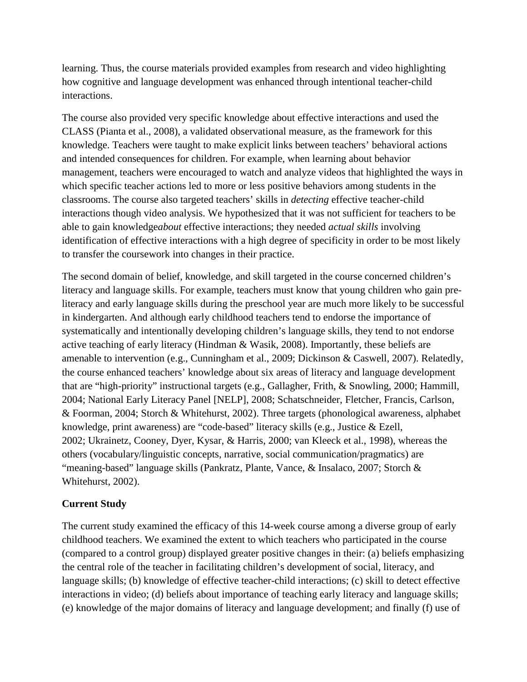learning. Thus, the course materials provided examples from research and video highlighting how cognitive and language development was enhanced through intentional teacher-child interactions.

The course also provided very specific knowledge about effective interactions and used the CLASS (Pianta et al., 2008), a validated observational measure, as the framework for this knowledge. Teachers were taught to make explicit links between teachers' behavioral actions and intended consequences for children. For example, when learning about behavior management, teachers were encouraged to watch and analyze videos that highlighted the ways in which specific teacher actions led to more or less positive behaviors among students in the classrooms. The course also targeted teachers' skills in *detecting* effective teacher-child interactions though video analysis. We hypothesized that it was not sufficient for teachers to be able to gain knowledge*about* effective interactions; they needed *actual skills* involving identification of effective interactions with a high degree of specificity in order to be most likely to transfer the coursework into changes in their practice.

The second domain of belief, knowledge, and skill targeted in the course concerned children's literacy and language skills. For example, teachers must know that young children who gain preliteracy and early language skills during the preschool year are much more likely to be successful in kindergarten. And although early childhood teachers tend to endorse the importance of systematically and intentionally developing children's language skills, they tend to not endorse active teaching of early literacy (Hindman & Wasik, 2008). Importantly, these beliefs are amenable to intervention (e.g., Cunningham et al., 2009; Dickinson & Caswell, 2007). Relatedly, the course enhanced teachers' knowledge about six areas of literacy and language development that are "high-priority" instructional targets (e.g., Gallagher, Frith, & Snowling, 2000; Hammill, 2004; National Early Literacy Panel [NELP], 2008; Schatschneider, Fletcher, Francis, Carlson, & Foorman, 2004; Storch & Whitehurst, 2002). Three targets (phonological awareness, alphabet knowledge, print awareness) are "code-based" literacy skills (e.g., Justice & Ezell, 2002; Ukrainetz, Cooney, Dyer, Kysar, & Harris, 2000; van Kleeck et al., 1998), whereas the others (vocabulary/linguistic concepts, narrative, social communication/pragmatics) are "meaning-based" language skills (Pankratz, Plante, Vance,  $\&$  Insalaco, 2007; Storch  $\&$ Whitehurst, 2002).

## **Current Study**

The current study examined the efficacy of this 14-week course among a diverse group of early childhood teachers. We examined the extent to which teachers who participated in the course (compared to a control group) displayed greater positive changes in their: (a) beliefs emphasizing the central role of the teacher in facilitating children's development of social, literacy, and language skills; (b) knowledge of effective teacher-child interactions; (c) skill to detect effective interactions in video; (d) beliefs about importance of teaching early literacy and language skills; (e) knowledge of the major domains of literacy and language development; and finally (f) use of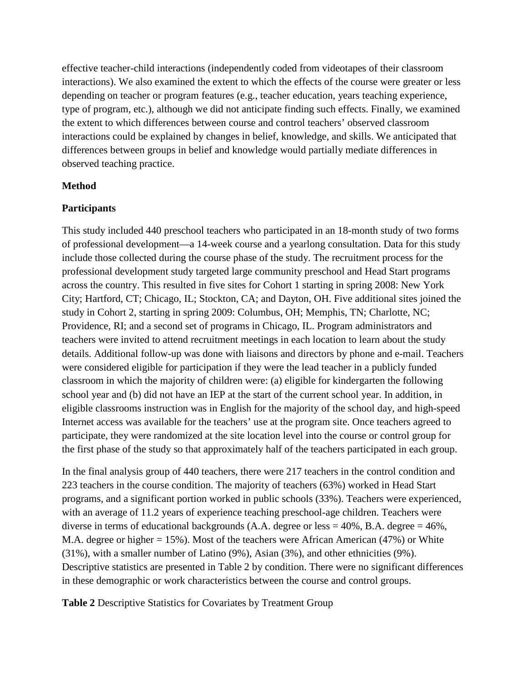effective teacher-child interactions (independently coded from videotapes of their classroom interactions). We also examined the extent to which the effects of the course were greater or less depending on teacher or program features (e.g., teacher education, years teaching experience, type of program, etc.), although we did not anticipate finding such effects. Finally, we examined the extent to which differences between course and control teachers' observed classroom interactions could be explained by changes in belief, knowledge, and skills. We anticipated that differences between groups in belief and knowledge would partially mediate differences in observed teaching practice.

#### **Method**

#### **Participants**

This study included 440 preschool teachers who participated in an 18-month study of two forms of professional development—a 14-week course and a yearlong consultation. Data for this study include those collected during the course phase of the study. The recruitment process for the professional development study targeted large community preschool and Head Start programs across the country. This resulted in five sites for Cohort 1 starting in spring 2008: New York City; Hartford, CT; Chicago, IL; Stockton, CA; and Dayton, OH. Five additional sites joined the study in Cohort 2, starting in spring 2009: Columbus, OH; Memphis, TN; Charlotte, NC; Providence, RI; and a second set of programs in Chicago, IL. Program administrators and teachers were invited to attend recruitment meetings in each location to learn about the study details. Additional follow-up was done with liaisons and directors by phone and e-mail. Teachers were considered eligible for participation if they were the lead teacher in a publicly funded classroom in which the majority of children were: (a) eligible for kindergarten the following school year and (b) did not have an IEP at the start of the current school year. In addition, in eligible classrooms instruction was in English for the majority of the school day, and high-speed Internet access was available for the teachers' use at the program site. Once teachers agreed to participate, they were randomized at the site location level into the course or control group for the first phase of the study so that approximately half of the teachers participated in each group.

In the final analysis group of 440 teachers, there were 217 teachers in the control condition and 223 teachers in the course condition. The majority of teachers (63%) worked in Head Start programs, and a significant portion worked in public schools (33%). Teachers were experienced, with an average of 11.2 years of experience teaching preschool-age children. Teachers were diverse in terms of educational backgrounds  $(A.A.$  degree or less = 40%, B.A. degree = 46%, M.A. degree or higher = 15%). Most of the teachers were African American (47%) or White (31%), with a smaller number of Latino (9%), Asian (3%), and other ethnicities (9%). Descriptive statistics are presented in Table 2 by condition. There were no significant differences in these demographic or work characteristics between the course and control groups.

**Table 2** Descriptive Statistics for Covariates by Treatment Group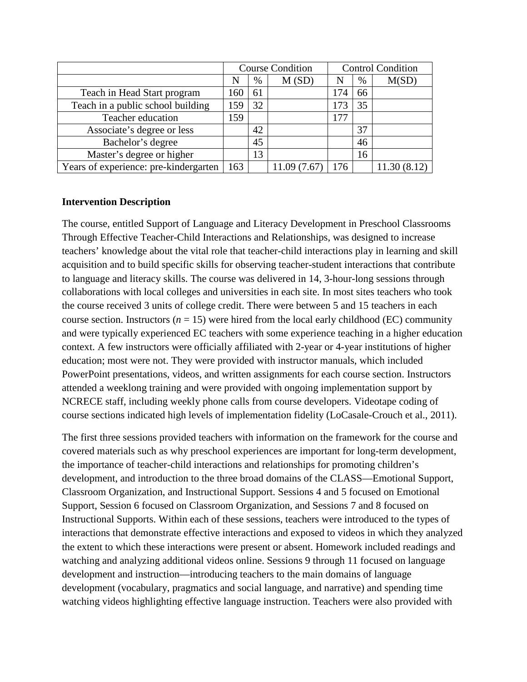|                                       | <b>Course Condition</b> |      | <b>Control Condition</b> |     |    |             |
|---------------------------------------|-------------------------|------|--------------------------|-----|----|-------------|
|                                       | N                       | $\%$ | M(SD)                    | N   | %  | M(SD)       |
| Teach in Head Start program           | 160                     | 61   |                          | 174 | 66 |             |
| Teach in a public school building     | 159                     | 32   |                          | 173 | 35 |             |
| Teacher education                     | 159                     |      |                          | 177 |    |             |
| Associate's degree or less            |                         | 42   |                          |     | 37 |             |
| Bachelor's degree                     |                         | 45   |                          |     | 46 |             |
| Master's degree or higher             |                         | 13   |                          |     | 16 |             |
| Years of experience: pre-kindergarten | 163                     |      | 11.09 (7.67              | 176 |    | 11.30(8.12) |

#### **Intervention Description**

The course, entitled Support of Language and Literacy Development in Preschool Classrooms Through Effective Teacher-Child Interactions and Relationships, was designed to increase teachers' knowledge about the vital role that teacher-child interactions play in learning and skill acquisition and to build specific skills for observing teacher-student interactions that contribute to language and literacy skills. The course was delivered in 14, 3-hour-long sessions through collaborations with local colleges and universities in each site. In most sites teachers who took the course received 3 units of college credit. There were between 5 and 15 teachers in each course section. Instructors  $(n = 15)$  were hired from the local early childhood (EC) community and were typically experienced EC teachers with some experience teaching in a higher education context. A few instructors were officially affiliated with 2-year or 4-year institutions of higher education; most were not. They were provided with instructor manuals, which included PowerPoint presentations, videos, and written assignments for each course section. Instructors attended a weeklong training and were provided with ongoing implementation support by NCRECE staff, including weekly phone calls from course developers. Videotape coding of course sections indicated high levels of implementation fidelity (LoCasale-Crouch et al., 2011).

The first three sessions provided teachers with information on the framework for the course and covered materials such as why preschool experiences are important for long-term development, the importance of teacher-child interactions and relationships for promoting children's development, and introduction to the three broad domains of the CLASS—Emotional Support, Classroom Organization, and Instructional Support. Sessions 4 and 5 focused on Emotional Support, Session 6 focused on Classroom Organization, and Sessions 7 and 8 focused on Instructional Supports. Within each of these sessions, teachers were introduced to the types of interactions that demonstrate effective interactions and exposed to videos in which they analyzed the extent to which these interactions were present or absent. Homework included readings and watching and analyzing additional videos online. Sessions 9 through 11 focused on language development and instruction—introducing teachers to the main domains of language development (vocabulary, pragmatics and social language, and narrative) and spending time watching videos highlighting effective language instruction. Teachers were also provided with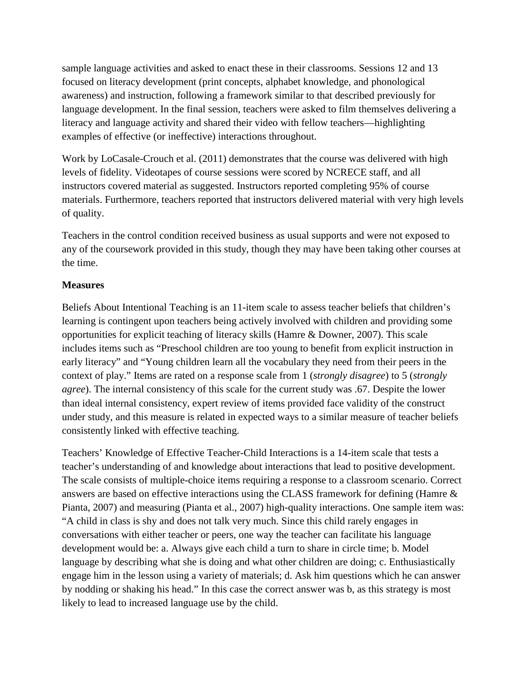sample language activities and asked to enact these in their classrooms. Sessions 12 and 13 focused on literacy development (print concepts, alphabet knowledge, and phonological awareness) and instruction, following a framework similar to that described previously for language development. In the final session, teachers were asked to film themselves delivering a literacy and language activity and shared their video with fellow teachers—highlighting examples of effective (or ineffective) interactions throughout.

Work by LoCasale-Crouch et al. (2011) demonstrates that the course was delivered with high levels of fidelity. Videotapes of course sessions were scored by NCRECE staff, and all instructors covered material as suggested. Instructors reported completing 95% of course materials. Furthermore, teachers reported that instructors delivered material with very high levels of quality.

Teachers in the control condition received business as usual supports and were not exposed to any of the coursework provided in this study, though they may have been taking other courses at the time.

#### **Measures**

Beliefs About Intentional Teaching is an 11-item scale to assess teacher beliefs that children's learning is contingent upon teachers being actively involved with children and providing some opportunities for explicit teaching of literacy skills (Hamre & Downer, 2007). This scale includes items such as "Preschool children are too young to benefit from explicit instruction in early literacy" and "Young children learn all the vocabulary they need from their peers in the context of play." Items are rated on a response scale from 1 (*strongly disagree*) to 5 (*strongly agree*). The internal consistency of this scale for the current study was .67. Despite the lower than ideal internal consistency, expert review of items provided face validity of the construct under study, and this measure is related in expected ways to a similar measure of teacher beliefs consistently linked with effective teaching.

Teachers' Knowledge of Effective Teacher-Child Interactions is a 14-item scale that tests a teacher's understanding of and knowledge about interactions that lead to positive development. The scale consists of multiple-choice items requiring a response to a classroom scenario. Correct answers are based on effective interactions using the CLASS framework for defining (Hamre & Pianta, 2007) and measuring (Pianta et al., 2007) high-quality interactions. One sample item was: "A child in class is shy and does not talk very much. Since this child rarely engages in conversations with either teacher or peers, one way the teacher can facilitate his language development would be: a. Always give each child a turn to share in circle time; b. Model language by describing what she is doing and what other children are doing; c. Enthusiastically engage him in the lesson using a variety of materials; d. Ask him questions which he can answer by nodding or shaking his head." In this case the correct answer was b, as this strategy is most likely to lead to increased language use by the child.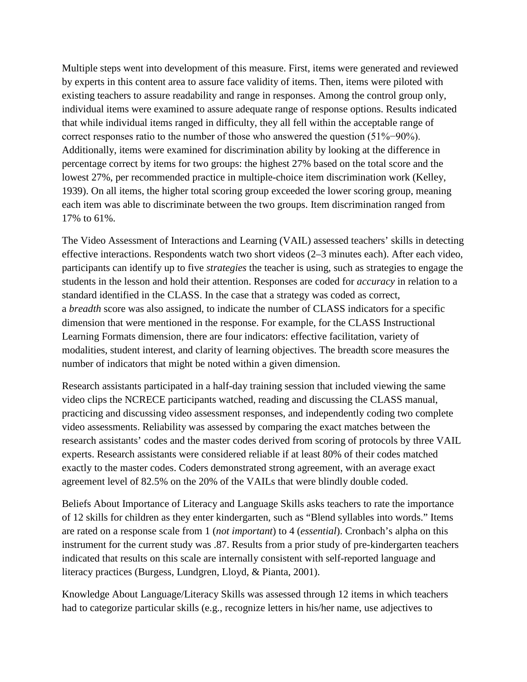Multiple steps went into development of this measure. First, items were generated and reviewed by experts in this content area to assure face validity of items. Then, items were piloted with existing teachers to assure readability and range in responses. Among the control group only, individual items were examined to assure adequate range of response options. Results indicated that while individual items ranged in difficulty, they all fell within the acceptable range of correct responses ratio to the number of those who answered the question (51%−90%). Additionally, items were examined for discrimination ability by looking at the difference in percentage correct by items for two groups: the highest 27% based on the total score and the lowest 27%, per recommended practice in multiple-choice item discrimination work (Kelley, 1939). On all items, the higher total scoring group exceeded the lower scoring group, meaning each item was able to discriminate between the two groups. Item discrimination ranged from 17% to 61%.

The Video Assessment of Interactions and Learning (VAIL) assessed teachers' skills in detecting effective interactions. Respondents watch two short videos (2–3 minutes each). After each video, participants can identify up to five *strategies* the teacher is using, such as strategies to engage the students in the lesson and hold their attention. Responses are coded for *accuracy* in relation to a standard identified in the CLASS. In the case that a strategy was coded as correct, a *breadth* score was also assigned, to indicate the number of CLASS indicators for a specific dimension that were mentioned in the response. For example, for the CLASS Instructional Learning Formats dimension, there are four indicators: effective facilitation, variety of modalities, student interest, and clarity of learning objectives. The breadth score measures the number of indicators that might be noted within a given dimension.

Research assistants participated in a half-day training session that included viewing the same video clips the NCRECE participants watched, reading and discussing the CLASS manual, practicing and discussing video assessment responses, and independently coding two complete video assessments. Reliability was assessed by comparing the exact matches between the research assistants' codes and the master codes derived from scoring of protocols by three VAIL experts. Research assistants were considered reliable if at least 80% of their codes matched exactly to the master codes. Coders demonstrated strong agreement, with an average exact agreement level of 82.5% on the 20% of the VAILs that were blindly double coded.

Beliefs About Importance of Literacy and Language Skills asks teachers to rate the importance of 12 skills for children as they enter kindergarten, such as "Blend syllables into words." Items are rated on a response scale from 1 (*not important*) to 4 (*essential*). Cronbach's alpha on this instrument for the current study was .87. Results from a prior study of pre-kindergarten teachers indicated that results on this scale are internally consistent with self-reported language and literacy practices (Burgess, Lundgren, Lloyd, & Pianta, 2001).

Knowledge About Language/Literacy Skills was assessed through 12 items in which teachers had to categorize particular skills (e.g., recognize letters in his/her name, use adjectives to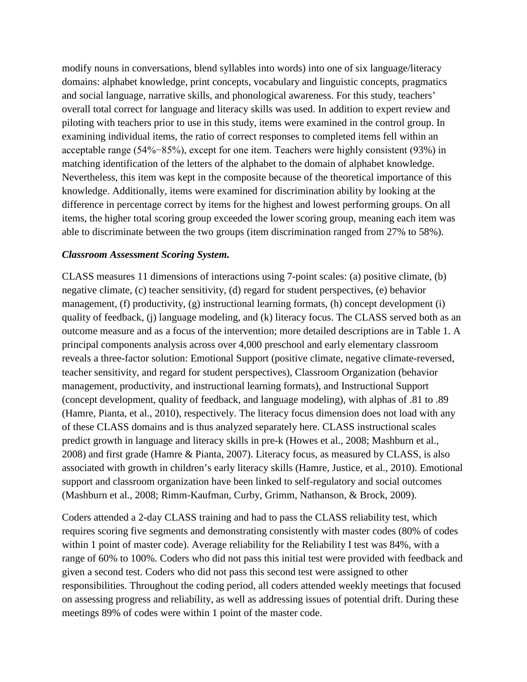modify nouns in conversations, blend syllables into words) into one of six language/literacy domains: alphabet knowledge, print concepts, vocabulary and linguistic concepts, pragmatics and social language, narrative skills, and phonological awareness. For this study, teachers' overall total correct for language and literacy skills was used. In addition to expert review and piloting with teachers prior to use in this study, items were examined in the control group. In examining individual items, the ratio of correct responses to completed items fell within an acceptable range (54%−85%), except for one item. Teachers were highly consistent (93%) in matching identification of the letters of the alphabet to the domain of alphabet knowledge. Nevertheless, this item was kept in the composite because of the theoretical importance of this knowledge. Additionally, items were examined for discrimination ability by looking at the difference in percentage correct by items for the highest and lowest performing groups. On all items, the higher total scoring group exceeded the lower scoring group, meaning each item was able to discriminate between the two groups (item discrimination ranged from 27% to 58%).

#### *Classroom Assessment Scoring System.*

CLASS measures 11 dimensions of interactions using 7-point scales: (a) positive climate, (b) negative climate, (c) teacher sensitivity, (d) regard for student perspectives, (e) behavior management, (f) productivity, (g) instructional learning formats, (h) concept development (i) quality of feedback, (j) language modeling, and (k) literacy focus. The CLASS served both as an outcome measure and as a focus of the intervention; more detailed descriptions are in Table 1. A principal components analysis across over 4,000 preschool and early elementary classroom reveals a three-factor solution: Emotional Support (positive climate, negative climate-reversed, teacher sensitivity, and regard for student perspectives), Classroom Organization (behavior management, productivity, and instructional learning formats), and Instructional Support (concept development, quality of feedback, and language modeling), with alphas of .81 to .89 (Hamre, Pianta, et al., 2010), respectively. The literacy focus dimension does not load with any of these CLASS domains and is thus analyzed separately here. CLASS instructional scales predict growth in language and literacy skills in pre-k (Howes et al., 2008; Mashburn et al., 2008) and first grade (Hamre & Pianta, 2007). Literacy focus, as measured by CLASS, is also associated with growth in children's early literacy skills (Hamre, Justice, et al., 2010). Emotional support and classroom organization have been linked to self-regulatory and social outcomes (Mashburn et al., 2008; Rimm-Kaufman, Curby, Grimm, Nathanson, & Brock, 2009).

Coders attended a 2-day CLASS training and had to pass the CLASS reliability test, which requires scoring five segments and demonstrating consistently with master codes (80% of codes within 1 point of master code). Average reliability for the Reliability I test was 84%, with a range of 60% to 100%. Coders who did not pass this initial test were provided with feedback and given a second test. Coders who did not pass this second test were assigned to other responsibilities. Throughout the coding period, all coders attended weekly meetings that focused on assessing progress and reliability, as well as addressing issues of potential drift. During these meetings 89% of codes were within 1 point of the master code.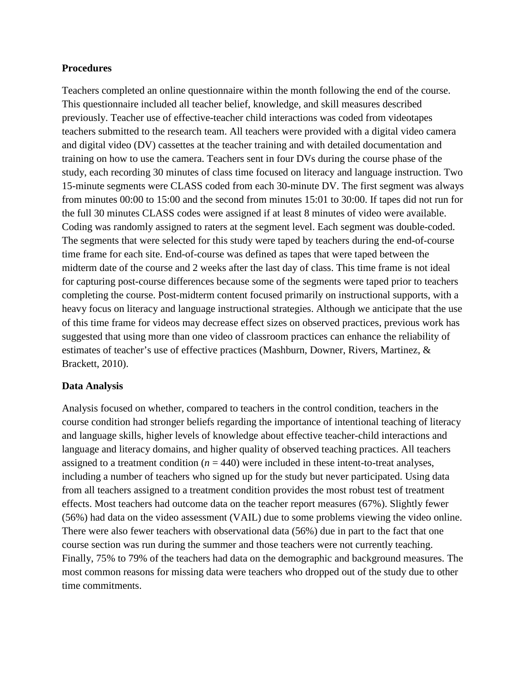#### **Procedures**

Teachers completed an online questionnaire within the month following the end of the course. This questionnaire included all teacher belief, knowledge, and skill measures described previously. Teacher use of effective-teacher child interactions was coded from videotapes teachers submitted to the research team. All teachers were provided with a digital video camera and digital video (DV) cassettes at the teacher training and with detailed documentation and training on how to use the camera. Teachers sent in four DVs during the course phase of the study, each recording 30 minutes of class time focused on literacy and language instruction. Two 15-minute segments were CLASS coded from each 30-minute DV. The first segment was always from minutes 00:00 to 15:00 and the second from minutes 15:01 to 30:00. If tapes did not run for the full 30 minutes CLASS codes were assigned if at least 8 minutes of video were available. Coding was randomly assigned to raters at the segment level. Each segment was double-coded. The segments that were selected for this study were taped by teachers during the end-of-course time frame for each site. End-of-course was defined as tapes that were taped between the midterm date of the course and 2 weeks after the last day of class. This time frame is not ideal for capturing post-course differences because some of the segments were taped prior to teachers completing the course. Post-midterm content focused primarily on instructional supports, with a heavy focus on literacy and language instructional strategies. Although we anticipate that the use of this time frame for videos may decrease effect sizes on observed practices, previous work has suggested that using more than one video of classroom practices can enhance the reliability of estimates of teacher's use of effective practices (Mashburn, Downer, Rivers, Martinez, & Brackett, 2010).

#### **Data Analysis**

Analysis focused on whether, compared to teachers in the control condition, teachers in the course condition had stronger beliefs regarding the importance of intentional teaching of literacy and language skills, higher levels of knowledge about effective teacher-child interactions and language and literacy domains, and higher quality of observed teaching practices. All teachers assigned to a treatment condition  $(n = 440)$  were included in these intent-to-treat analyses, including a number of teachers who signed up for the study but never participated. Using data from all teachers assigned to a treatment condition provides the most robust test of treatment effects. Most teachers had outcome data on the teacher report measures (67%). Slightly fewer (56%) had data on the video assessment (VAIL) due to some problems viewing the video online. There were also fewer teachers with observational data (56%) due in part to the fact that one course section was run during the summer and those teachers were not currently teaching. Finally, 75% to 79% of the teachers had data on the demographic and background measures. The most common reasons for missing data were teachers who dropped out of the study due to other time commitments.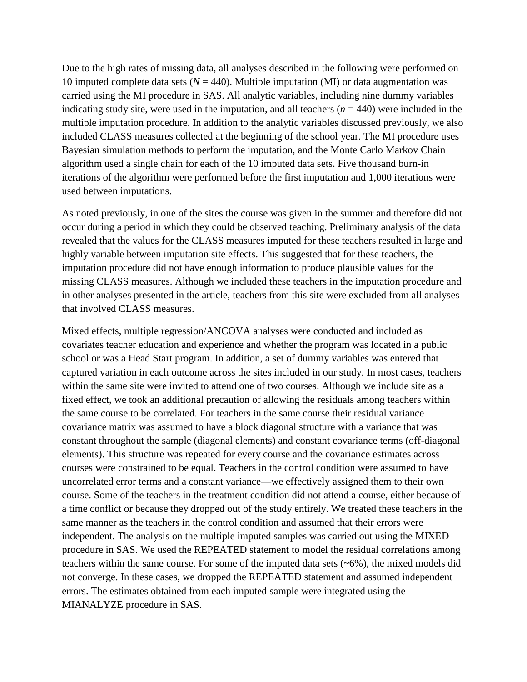Due to the high rates of missing data, all analyses described in the following were performed on 10 imputed complete data sets ( $N = 440$ ). Multiple imputation (MI) or data augmentation was carried using the MI procedure in SAS. All analytic variables, including nine dummy variables indicating study site, were used in the imputation, and all teachers  $(n = 440)$  were included in the multiple imputation procedure. In addition to the analytic variables discussed previously, we also included CLASS measures collected at the beginning of the school year. The MI procedure uses Bayesian simulation methods to perform the imputation, and the Monte Carlo Markov Chain algorithm used a single chain for each of the 10 imputed data sets. Five thousand burn-in iterations of the algorithm were performed before the first imputation and 1,000 iterations were used between imputations.

As noted previously, in one of the sites the course was given in the summer and therefore did not occur during a period in which they could be observed teaching. Preliminary analysis of the data revealed that the values for the CLASS measures imputed for these teachers resulted in large and highly variable between imputation site effects. This suggested that for these teachers, the imputation procedure did not have enough information to produce plausible values for the missing CLASS measures. Although we included these teachers in the imputation procedure and in other analyses presented in the article, teachers from this site were excluded from all analyses that involved CLASS measures.

Mixed effects, multiple regression/ANCOVA analyses were conducted and included as covariates teacher education and experience and whether the program was located in a public school or was a Head Start program. In addition, a set of dummy variables was entered that captured variation in each outcome across the sites included in our study. In most cases, teachers within the same site were invited to attend one of two courses. Although we include site as a fixed effect, we took an additional precaution of allowing the residuals among teachers within the same course to be correlated. For teachers in the same course their residual variance covariance matrix was assumed to have a block diagonal structure with a variance that was constant throughout the sample (diagonal elements) and constant covariance terms (off-diagonal elements). This structure was repeated for every course and the covariance estimates across courses were constrained to be equal. Teachers in the control condition were assumed to have uncorrelated error terms and a constant variance—we effectively assigned them to their own course. Some of the teachers in the treatment condition did not attend a course, either because of a time conflict or because they dropped out of the study entirely. We treated these teachers in the same manner as the teachers in the control condition and assumed that their errors were independent. The analysis on the multiple imputed samples was carried out using the MIXED procedure in SAS. We used the REPEATED statement to model the residual correlations among teachers within the same course. For some of the imputed data sets  $(-6%)$ , the mixed models did not converge. In these cases, we dropped the REPEATED statement and assumed independent errors. The estimates obtained from each imputed sample were integrated using the MIANALYZE procedure in SAS.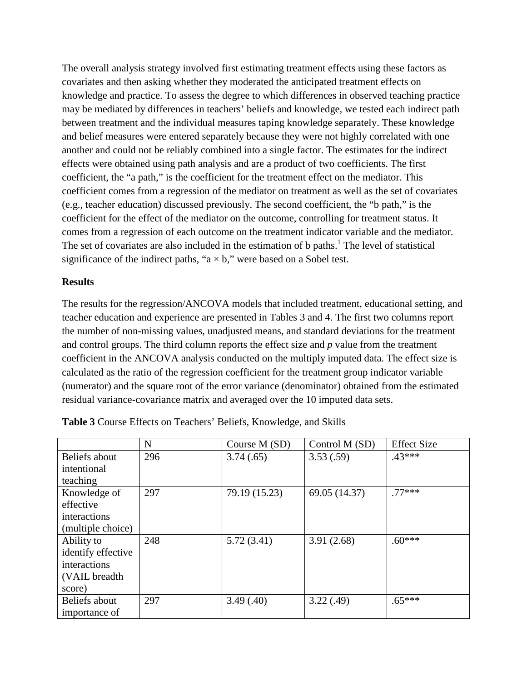The overall analysis strategy involved first estimating treatment effects using these factors as covariates and then asking whether they moderated the anticipated treatment effects on knowledge and practice. To assess the degree to which differences in observed teaching practice may be mediated by differences in teachers' beliefs and knowledge, we tested each indirect path between treatment and the individual measures taping knowledge separately. These knowledge and belief measures were entered separately because they were not highly correlated with one another and could not be reliably combined into a single factor. The estimates for the indirect effects were obtained using path analysis and are a product of two coefficients. The first coefficient, the "a path," is the coefficient for the treatment effect on the mediator. This coefficient comes from a regression of the mediator on treatment as well as the set of covariates (e.g., teacher education) discussed previously. The second coefficient, the "b path," is the coefficient for the effect of the mediator on the outcome, controlling for treatment status. It comes from a regression of each outcome on the treatment indicator variable and the mediator. The set of covariates are also included in the estimation of  $b$  paths.<sup>1</sup> The level of statistical significance of the indirect paths, " $a \times b$ ," were based on a Sobel test.

#### **Results**

The results for the regression/ANCOVA models that included treatment, educational setting, and teacher education and experience are presented in Tables 3 and 4. The first two columns report the number of non-missing values, unadjusted means, and standard deviations for the treatment and control groups. The third column reports the effect size and *p* value from the treatment coefficient in the ANCOVA analysis conducted on the multiply imputed data. The effect size is calculated as the ratio of the regression coefficient for the treatment group indicator variable (numerator) and the square root of the error variance (denominator) obtained from the estimated residual variance-covariance matrix and averaged over the 10 imputed data sets.

|                    | N   | Course M (SD) | Control M (SD) | <b>Effect Size</b> |
|--------------------|-----|---------------|----------------|--------------------|
| Beliefs about      | 296 | 3.74(.65)     | 3.53(.59)      | $.43***$           |
| intentional        |     |               |                |                    |
| teaching           |     |               |                |                    |
| Knowledge of       | 297 | 79.19 (15.23) | 69.05 (14.37)  | $.77***$           |
| effective          |     |               |                |                    |
| interactions       |     |               |                |                    |
| (multiple choice)  |     |               |                |                    |
| Ability to         | 248 | 5.72(3.41)    | 3.91(2.68)     | $.60***$           |
| identify effective |     |               |                |                    |
| interactions       |     |               |                |                    |
| (VAIL breadth)     |     |               |                |                    |
| score)             |     |               |                |                    |
| Beliefs about      | 297 | 3.49(.40)     | 3.22(.49)      | $.65***$           |
| importance of      |     |               |                |                    |

**Table 3** Course Effects on Teachers' Beliefs, Knowledge, and Skills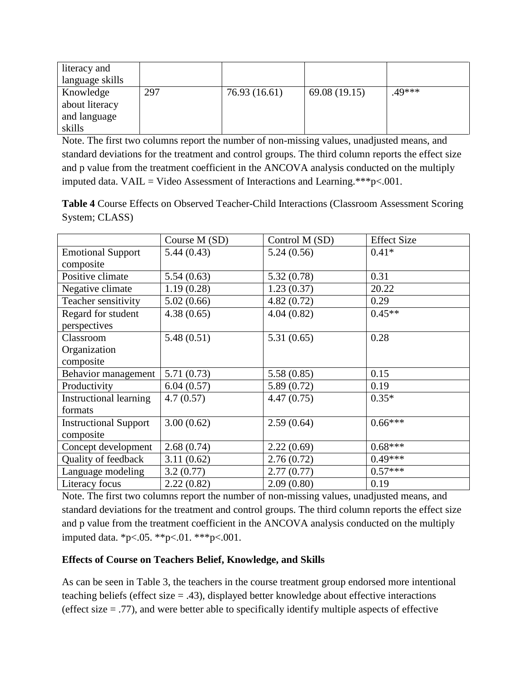| literacy and    |     |               |               |        |
|-----------------|-----|---------------|---------------|--------|
| language skills |     |               |               |        |
| Knowledge       | 297 | 76.93 (16.61) | 69.08 (19.15) | .49*** |
| about literacy  |     |               |               |        |
| and language    |     |               |               |        |
| skills          |     |               |               |        |

Note. The first two columns report the number of non-missing values, unadjusted means, and standard deviations for the treatment and control groups. The third column reports the effect size and p value from the treatment coefficient in the ANCOVA analysis conducted on the multiply imputed data. VAIL = Video Assessment of Interactions and Learning.\*\*\* $p<.001$ .

**Table 4** Course Effects on Observed Teacher-Child Interactions (Classroom Assessment Scoring System; CLASS)

|                               | Course M (SD) | Control M (SD) | <b>Effect Size</b> |
|-------------------------------|---------------|----------------|--------------------|
| <b>Emotional Support</b>      | 5.44(0.43)    | 5.24(0.56)     | $0.41*$            |
| composite                     |               |                |                    |
| Positive climate              | 5.54(0.63)    | 5.32(0.78)     | 0.31               |
| Negative climate              | 1.19(0.28)    | 1.23(0.37)     | 20.22              |
| Teacher sensitivity           | 5.02(0.66)    | 4.82(0.72)     | 0.29               |
| Regard for student            | 4.38(0.65)    | 4.04(0.82)     | $0.45**$           |
| perspectives                  |               |                |                    |
| Classroom                     | 5.48(0.51)    | 5.31(0.65)     | 0.28               |
| Organization                  |               |                |                    |
| composite                     |               |                |                    |
| Behavior management           | 5.71(0.73)    | 5.58(0.85)     | 0.15               |
| Productivity                  | 6.04(0.57)    | 5.89(0.72)     | 0.19               |
| <b>Instructional learning</b> | 4.7(0.57)     | 4.47(0.75)     | $0.35*$            |
| formats                       |               |                |                    |
| <b>Instructional Support</b>  | 3.00(0.62)    | 2.59(0.64)     | $0.66***$          |
| composite                     |               |                |                    |
| Concept development           | 2.68(0.74)    | 2.22(0.69)     | $0.68***$          |
| Quality of feedback           | 3.11(0.62)    | 2.76(0.72)     | $0.49***$          |
| Language modeling             | 3.2(0.77)     | 2.77(0.77)     | $0.57***$          |
| Literacy focus                | 2.22(0.82)    | 2.09(0.80)     | 0.19               |

Note. The first two columns report the number of non-missing values, unadjusted means, and standard deviations for the treatment and control groups. The third column reports the effect size and p value from the treatment coefficient in the ANCOVA analysis conducted on the multiply imputed data. \*p<.05. \*\*p<.01. \*\*\*p<.001.

#### **Effects of Course on Teachers Belief, Knowledge, and Skills**

As can be seen in Table 3, the teachers in the course treatment group endorsed more intentional teaching beliefs (effect size = .43), displayed better knowledge about effective interactions (effect size = .77), and were better able to specifically identify multiple aspects of effective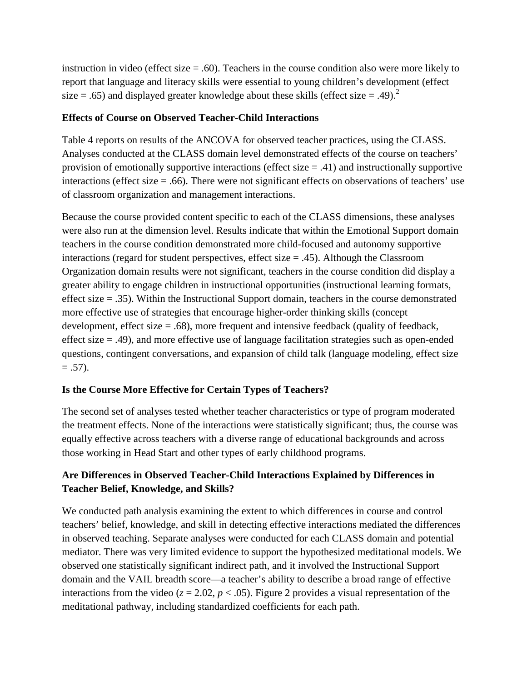instruction in video (effect size = .60). Teachers in the course condition also were more likely to report that language and literacy skills were essential to young children's development (effect size = .65) and displayed greater knowledge about these skills (effect size = .49).<sup>2</sup>

#### **Effects of Course on Observed Teacher-Child Interactions**

Table 4 reports on results of the ANCOVA for observed teacher practices, using the CLASS. Analyses conducted at the CLASS domain level demonstrated effects of the course on teachers' provision of emotionally supportive interactions (effect size = .41) and instructionally supportive interactions (effect size = .66). There were not significant effects on observations of teachers' use of classroom organization and management interactions.

Because the course provided content specific to each of the CLASS dimensions, these analyses were also run at the dimension level. Results indicate that within the Emotional Support domain teachers in the course condition demonstrated more child-focused and autonomy supportive interactions (regard for student perspectives, effect size = .45). Although the Classroom Organization domain results were not significant, teachers in the course condition did display a greater ability to engage children in instructional opportunities (instructional learning formats, effect size = .35). Within the Instructional Support domain, teachers in the course demonstrated more effective use of strategies that encourage higher-order thinking skills (concept development, effect size = .68), more frequent and intensive feedback (quality of feedback, effect size = .49), and more effective use of language facilitation strategies such as open-ended questions, contingent conversations, and expansion of child talk (language modeling, effect size  $= .57$ ).

## **Is the Course More Effective for Certain Types of Teachers?**

The second set of analyses tested whether teacher characteristics or type of program moderated the treatment effects. None of the interactions were statistically significant; thus, the course was equally effective across teachers with a diverse range of educational backgrounds and across those working in Head Start and other types of early childhood programs.

## **Are Differences in Observed Teacher-Child Interactions Explained by Differences in Teacher Belief, Knowledge, and Skills?**

We conducted path analysis examining the extent to which differences in course and control teachers' belief, knowledge, and skill in detecting effective interactions mediated the differences in observed teaching. Separate analyses were conducted for each CLASS domain and potential mediator. There was very limited evidence to support the hypothesized meditational models. We observed one statistically significant indirect path, and it involved the Instructional Support domain and the VAIL breadth score—a teacher's ability to describe a broad range of effective interactions from the video ( $z = 2.02$ ,  $p < .05$ ). Figure 2 provides a visual representation of the meditational pathway, including standardized coefficients for each path.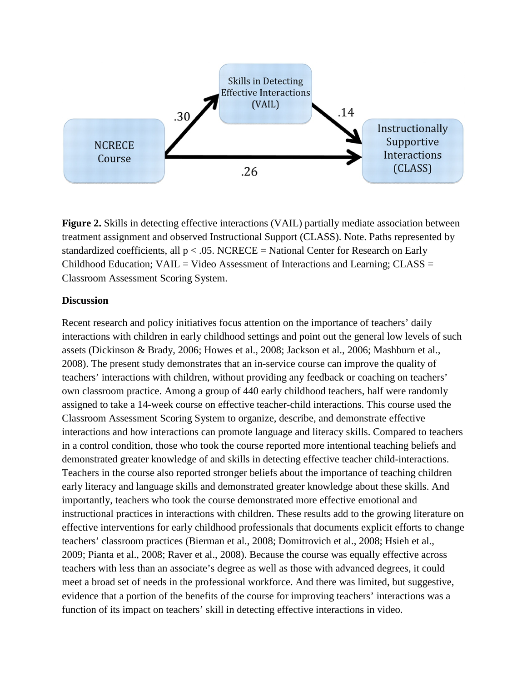

**Figure 2.** Skills in detecting effective interactions (VAIL) partially mediate association between treatment assignment and observed Instructional Support (CLASS). Note. Paths represented by standardized coefficients, all  $p < .05$ . NCRECE = National Center for Research on Early Childhood Education;  $VALU = Video Assessment of Interactions and Learning; CLASS =$ Classroom Assessment Scoring System.

#### **Discussion**

Recent research and policy initiatives focus attention on the importance of teachers' daily interactions with children in early childhood settings and point out the general low levels of such assets (Dickinson & Brady, 2006; Howes et al., 2008; Jackson et al., 2006; Mashburn et al., 2008). The present study demonstrates that an in-service course can improve the quality of teachers' interactions with children, without providing any feedback or coaching on teachers' own classroom practice. Among a group of 440 early childhood teachers, half were randomly assigned to take a 14-week course on effective teacher-child interactions. This course used the Classroom Assessment Scoring System to organize, describe, and demonstrate effective interactions and how interactions can promote language and literacy skills. Compared to teachers in a control condition, those who took the course reported more intentional teaching beliefs and demonstrated greater knowledge of and skills in detecting effective teacher child-interactions. Teachers in the course also reported stronger beliefs about the importance of teaching children early literacy and language skills and demonstrated greater knowledge about these skills. And importantly, teachers who took the course demonstrated more effective emotional and instructional practices in interactions with children. These results add to the growing literature on effective interventions for early childhood professionals that documents explicit efforts to change teachers' classroom practices (Bierman et al., 2008; Domitrovich et al., 2008; Hsieh et al., 2009; Pianta et al., 2008; Raver et al., 2008). Because the course was equally effective across teachers with less than an associate's degree as well as those with advanced degrees, it could meet a broad set of needs in the professional workforce. And there was limited, but suggestive, evidence that a portion of the benefits of the course for improving teachers' interactions was a function of its impact on teachers' skill in detecting effective interactions in video.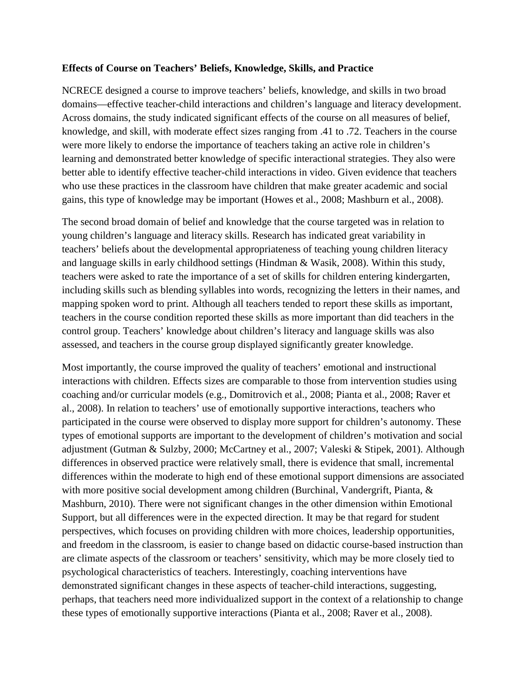#### **Effects of Course on Teachers' Beliefs, Knowledge, Skills, and Practice**

NCRECE designed a course to improve teachers' beliefs, knowledge, and skills in two broad domains—effective teacher-child interactions and children's language and literacy development. Across domains, the study indicated significant effects of the course on all measures of belief, knowledge, and skill, with moderate effect sizes ranging from .41 to .72. Teachers in the course were more likely to endorse the importance of teachers taking an active role in children's learning and demonstrated better knowledge of specific interactional strategies. They also were better able to identify effective teacher-child interactions in video. Given evidence that teachers who use these practices in the classroom have children that make greater academic and social gains, this type of knowledge may be important (Howes et al., 2008; Mashburn et al., 2008).

The second broad domain of belief and knowledge that the course targeted was in relation to young children's language and literacy skills. Research has indicated great variability in teachers' beliefs about the developmental appropriateness of teaching young children literacy and language skills in early childhood settings (Hindman & Wasik, 2008). Within this study, teachers were asked to rate the importance of a set of skills for children entering kindergarten, including skills such as blending syllables into words, recognizing the letters in their names, and mapping spoken word to print. Although all teachers tended to report these skills as important, teachers in the course condition reported these skills as more important than did teachers in the control group. Teachers' knowledge about children's literacy and language skills was also assessed, and teachers in the course group displayed significantly greater knowledge.

Most importantly, the course improved the quality of teachers' emotional and instructional interactions with children. Effects sizes are comparable to those from intervention studies using coaching and/or curricular models (e.g., Domitrovich et al., 2008; Pianta et al., 2008; Raver et al., 2008). In relation to teachers' use of emotionally supportive interactions, teachers who participated in the course were observed to display more support for children's autonomy. These types of emotional supports are important to the development of children's motivation and social adjustment (Gutman & Sulzby, 2000; McCartney et al., 2007; Valeski & Stipek, 2001). Although differences in observed practice were relatively small, there is evidence that small, incremental differences within the moderate to high end of these emotional support dimensions are associated with more positive social development among children (Burchinal, Vandergrift, Pianta, & Mashburn, 2010). There were not significant changes in the other dimension within Emotional Support, but all differences were in the expected direction. It may be that regard for student perspectives, which focuses on providing children with more choices, leadership opportunities, and freedom in the classroom, is easier to change based on didactic course-based instruction than are climate aspects of the classroom or teachers' sensitivity, which may be more closely tied to psychological characteristics of teachers. Interestingly, coaching interventions have demonstrated significant changes in these aspects of teacher-child interactions, suggesting, perhaps, that teachers need more individualized support in the context of a relationship to change these types of emotionally supportive interactions (Pianta et al., 2008; Raver et al., 2008).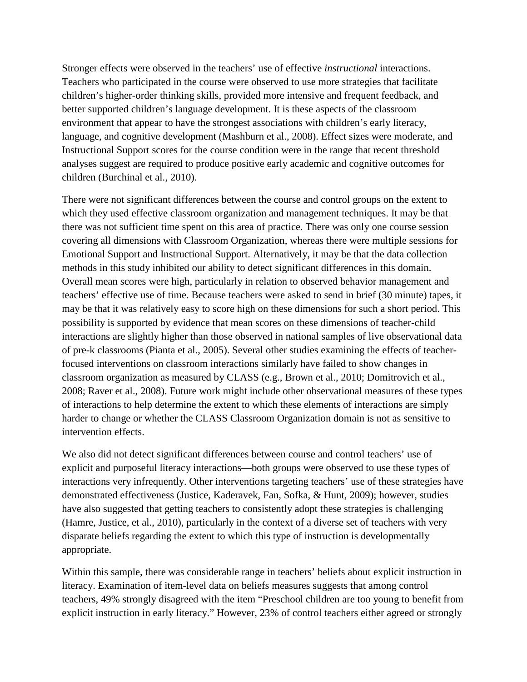Stronger effects were observed in the teachers' use of effective *instructional* interactions. Teachers who participated in the course were observed to use more strategies that facilitate children's higher-order thinking skills, provided more intensive and frequent feedback, and better supported children's language development. It is these aspects of the classroom environment that appear to have the strongest associations with children's early literacy, language, and cognitive development (Mashburn et al., 2008). Effect sizes were moderate, and Instructional Support scores for the course condition were in the range that recent threshold analyses suggest are required to produce positive early academic and cognitive outcomes for children (Burchinal et al., 2010).

There were not significant differences between the course and control groups on the extent to which they used effective classroom organization and management techniques. It may be that there was not sufficient time spent on this area of practice. There was only one course session covering all dimensions with Classroom Organization, whereas there were multiple sessions for Emotional Support and Instructional Support. Alternatively, it may be that the data collection methods in this study inhibited our ability to detect significant differences in this domain. Overall mean scores were high, particularly in relation to observed behavior management and teachers' effective use of time. Because teachers were asked to send in brief (30 minute) tapes, it may be that it was relatively easy to score high on these dimensions for such a short period. This possibility is supported by evidence that mean scores on these dimensions of teacher-child interactions are slightly higher than those observed in national samples of live observational data of pre-k classrooms (Pianta et al., 2005). Several other studies examining the effects of teacherfocused interventions on classroom interactions similarly have failed to show changes in classroom organization as measured by CLASS (e.g., Brown et al., 2010; Domitrovich et al., 2008; Raver et al., 2008). Future work might include other observational measures of these types of interactions to help determine the extent to which these elements of interactions are simply harder to change or whether the CLASS Classroom Organization domain is not as sensitive to intervention effects.

We also did not detect significant differences between course and control teachers' use of explicit and purposeful literacy interactions—both groups were observed to use these types of interactions very infrequently. Other interventions targeting teachers' use of these strategies have demonstrated effectiveness (Justice, Kaderavek, Fan, Sofka, & Hunt, 2009); however, studies have also suggested that getting teachers to consistently adopt these strategies is challenging (Hamre, Justice, et al., 2010), particularly in the context of a diverse set of teachers with very disparate beliefs regarding the extent to which this type of instruction is developmentally appropriate.

Within this sample, there was considerable range in teachers' beliefs about explicit instruction in literacy. Examination of item-level data on beliefs measures suggests that among control teachers, 49% strongly disagreed with the item "Preschool children are too young to benefit from explicit instruction in early literacy." However, 23% of control teachers either agreed or strongly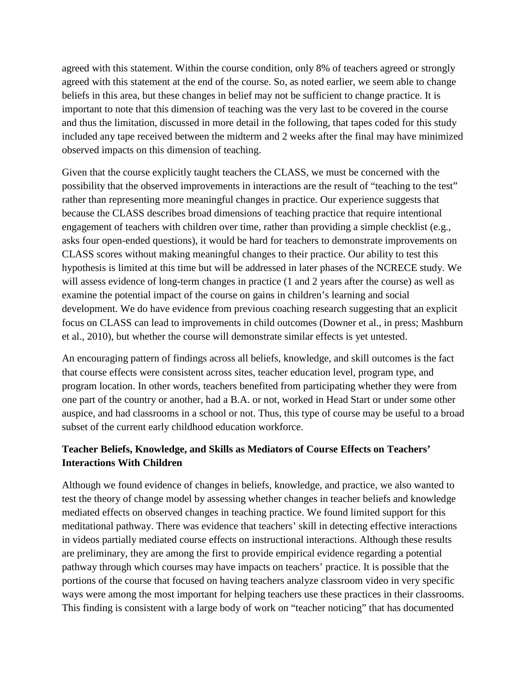agreed with this statement. Within the course condition, only 8% of teachers agreed or strongly agreed with this statement at the end of the course. So, as noted earlier, we seem able to change beliefs in this area, but these changes in belief may not be sufficient to change practice. It is important to note that this dimension of teaching was the very last to be covered in the course and thus the limitation, discussed in more detail in the following, that tapes coded for this study included any tape received between the midterm and 2 weeks after the final may have minimized observed impacts on this dimension of teaching.

Given that the course explicitly taught teachers the CLASS, we must be concerned with the possibility that the observed improvements in interactions are the result of "teaching to the test" rather than representing more meaningful changes in practice. Our experience suggests that because the CLASS describes broad dimensions of teaching practice that require intentional engagement of teachers with children over time, rather than providing a simple checklist (e.g., asks four open-ended questions), it would be hard for teachers to demonstrate improvements on CLASS scores without making meaningful changes to their practice. Our ability to test this hypothesis is limited at this time but will be addressed in later phases of the NCRECE study. We will assess evidence of long-term changes in practice (1 and 2 years after the course) as well as examine the potential impact of the course on gains in children's learning and social development. We do have evidence from previous coaching research suggesting that an explicit focus on CLASS can lead to improvements in child outcomes (Downer et al., in press; Mashburn et al., 2010), but whether the course will demonstrate similar effects is yet untested.

An encouraging pattern of findings across all beliefs, knowledge, and skill outcomes is the fact that course effects were consistent across sites, teacher education level, program type, and program location. In other words, teachers benefited from participating whether they were from one part of the country or another, had a B.A. or not, worked in Head Start or under some other auspice, and had classrooms in a school or not. Thus, this type of course may be useful to a broad subset of the current early childhood education workforce.

## **Teacher Beliefs, Knowledge, and Skills as Mediators of Course Effects on Teachers' Interactions With Children**

Although we found evidence of changes in beliefs, knowledge, and practice, we also wanted to test the theory of change model by assessing whether changes in teacher beliefs and knowledge mediated effects on observed changes in teaching practice. We found limited support for this meditational pathway. There was evidence that teachers' skill in detecting effective interactions in videos partially mediated course effects on instructional interactions. Although these results are preliminary, they are among the first to provide empirical evidence regarding a potential pathway through which courses may have impacts on teachers' practice. It is possible that the portions of the course that focused on having teachers analyze classroom video in very specific ways were among the most important for helping teachers use these practices in their classrooms. This finding is consistent with a large body of work on "teacher noticing" that has documented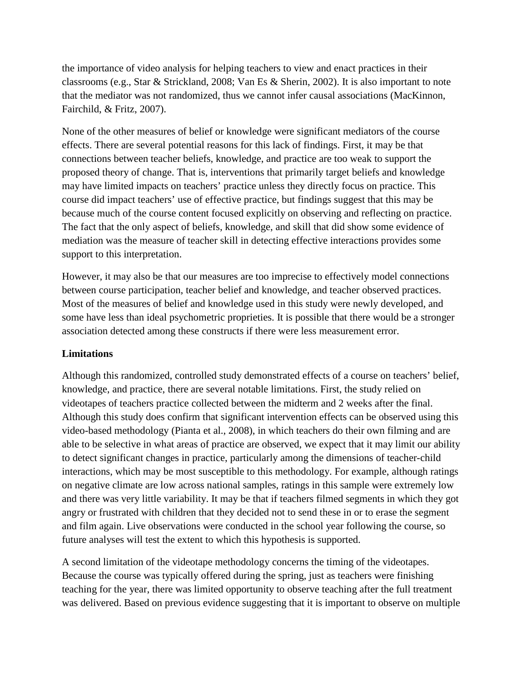the importance of video analysis for helping teachers to view and enact practices in their classrooms (e.g., Star & Strickland, 2008; Van Es & Sherin, 2002). It is also important to note that the mediator was not randomized, thus we cannot infer causal associations (MacKinnon, Fairchild, & Fritz, 2007).

None of the other measures of belief or knowledge were significant mediators of the course effects. There are several potential reasons for this lack of findings. First, it may be that connections between teacher beliefs, knowledge, and practice are too weak to support the proposed theory of change. That is, interventions that primarily target beliefs and knowledge may have limited impacts on teachers' practice unless they directly focus on practice. This course did impact teachers' use of effective practice, but findings suggest that this may be because much of the course content focused explicitly on observing and reflecting on practice. The fact that the only aspect of beliefs, knowledge, and skill that did show some evidence of mediation was the measure of teacher skill in detecting effective interactions provides some support to this interpretation.

However, it may also be that our measures are too imprecise to effectively model connections between course participation, teacher belief and knowledge, and teacher observed practices. Most of the measures of belief and knowledge used in this study were newly developed, and some have less than ideal psychometric proprieties. It is possible that there would be a stronger association detected among these constructs if there were less measurement error.

#### **Limitations**

Although this randomized, controlled study demonstrated effects of a course on teachers' belief, knowledge, and practice, there are several notable limitations. First, the study relied on videotapes of teachers practice collected between the midterm and 2 weeks after the final. Although this study does confirm that significant intervention effects can be observed using this video-based methodology (Pianta et al., 2008), in which teachers do their own filming and are able to be selective in what areas of practice are observed, we expect that it may limit our ability to detect significant changes in practice, particularly among the dimensions of teacher-child interactions, which may be most susceptible to this methodology. For example, although ratings on negative climate are low across national samples, ratings in this sample were extremely low and there was very little variability. It may be that if teachers filmed segments in which they got angry or frustrated with children that they decided not to send these in or to erase the segment and film again. Live observations were conducted in the school year following the course, so future analyses will test the extent to which this hypothesis is supported.

A second limitation of the videotape methodology concerns the timing of the videotapes. Because the course was typically offered during the spring, just as teachers were finishing teaching for the year, there was limited opportunity to observe teaching after the full treatment was delivered. Based on previous evidence suggesting that it is important to observe on multiple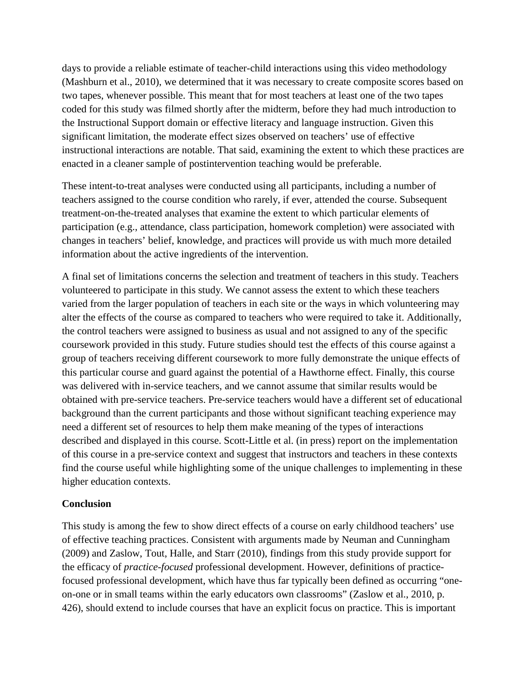days to provide a reliable estimate of teacher-child interactions using this video methodology (Mashburn et al., 2010), we determined that it was necessary to create composite scores based on two tapes, whenever possible. This meant that for most teachers at least one of the two tapes coded for this study was filmed shortly after the midterm, before they had much introduction to the Instructional Support domain or effective literacy and language instruction. Given this significant limitation, the moderate effect sizes observed on teachers' use of effective instructional interactions are notable. That said, examining the extent to which these practices are enacted in a cleaner sample of postintervention teaching would be preferable.

These intent-to-treat analyses were conducted using all participants, including a number of teachers assigned to the course condition who rarely, if ever, attended the course. Subsequent treatment-on-the-treated analyses that examine the extent to which particular elements of participation (e.g., attendance, class participation, homework completion) were associated with changes in teachers' belief, knowledge, and practices will provide us with much more detailed information about the active ingredients of the intervention.

A final set of limitations concerns the selection and treatment of teachers in this study. Teachers volunteered to participate in this study. We cannot assess the extent to which these teachers varied from the larger population of teachers in each site or the ways in which volunteering may alter the effects of the course as compared to teachers who were required to take it. Additionally, the control teachers were assigned to business as usual and not assigned to any of the specific coursework provided in this study. Future studies should test the effects of this course against a group of teachers receiving different coursework to more fully demonstrate the unique effects of this particular course and guard against the potential of a Hawthorne effect. Finally, this course was delivered with in-service teachers, and we cannot assume that similar results would be obtained with pre-service teachers. Pre-service teachers would have a different set of educational background than the current participants and those without significant teaching experience may need a different set of resources to help them make meaning of the types of interactions described and displayed in this course. Scott-Little et al. (in press) report on the implementation of this course in a pre-service context and suggest that instructors and teachers in these contexts find the course useful while highlighting some of the unique challenges to implementing in these higher education contexts.

## **Conclusion**

This study is among the few to show direct effects of a course on early childhood teachers' use of effective teaching practices. Consistent with arguments made by Neuman and Cunningham (2009) and Zaslow, Tout, Halle, and Starr (2010), findings from this study provide support for the efficacy of *practice-focused* professional development. However, definitions of practicefocused professional development, which have thus far typically been defined as occurring "oneon-one or in small teams within the early educators own classrooms" (Zaslow et al., 2010, p. 426), should extend to include courses that have an explicit focus on practice. This is important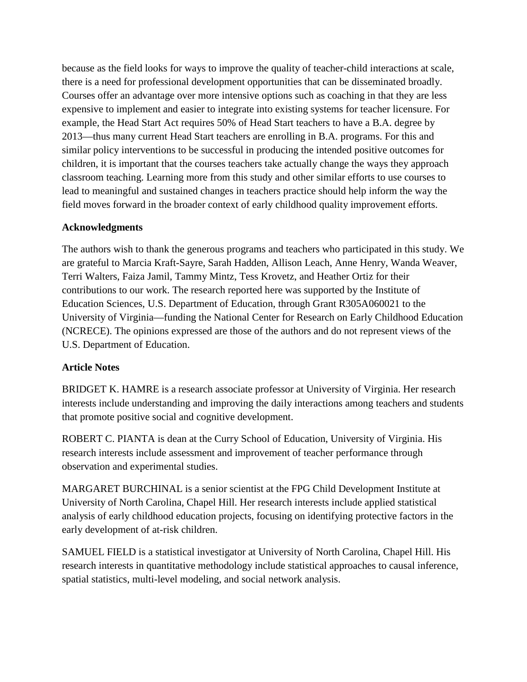because as the field looks for ways to improve the quality of teacher-child interactions at scale, there is a need for professional development opportunities that can be disseminated broadly. Courses offer an advantage over more intensive options such as coaching in that they are less expensive to implement and easier to integrate into existing systems for teacher licensure. For example, the Head Start Act requires 50% of Head Start teachers to have a B.A. degree by 2013—thus many current Head Start teachers are enrolling in B.A. programs. For this and similar policy interventions to be successful in producing the intended positive outcomes for children, it is important that the courses teachers take actually change the ways they approach classroom teaching. Learning more from this study and other similar efforts to use courses to lead to meaningful and sustained changes in teachers practice should help inform the way the field moves forward in the broader context of early childhood quality improvement efforts.

## **Acknowledgments**

The authors wish to thank the generous programs and teachers who participated in this study. We are grateful to Marcia Kraft-Sayre, Sarah Hadden, Allison Leach, Anne Henry, Wanda Weaver, Terri Walters, Faiza Jamil, Tammy Mintz, Tess Krovetz, and Heather Ortiz for their contributions to our work. The research reported here was supported by the Institute of Education Sciences, U.S. Department of Education, through Grant R305A060021 to the University of Virginia—funding the National Center for Research on Early Childhood Education (NCRECE). The opinions expressed are those of the authors and do not represent views of the U.S. Department of Education.

## **Article Notes**

BRIDGET K. HAMRE is a research associate professor at University of Virginia. Her research interests include understanding and improving the daily interactions among teachers and students that promote positive social and cognitive development.

ROBERT C. PIANTA is dean at the Curry School of Education, University of Virginia. His research interests include assessment and improvement of teacher performance through observation and experimental studies.

MARGARET BURCHINAL is a senior scientist at the FPG Child Development Institute at University of North Carolina, Chapel Hill. Her research interests include applied statistical analysis of early childhood education projects, focusing on identifying protective factors in the early development of at-risk children.

SAMUEL FIELD is a statistical investigator at University of North Carolina, Chapel Hill. His research interests in quantitative methodology include statistical approaches to causal inference, spatial statistics, multi-level modeling, and social network analysis.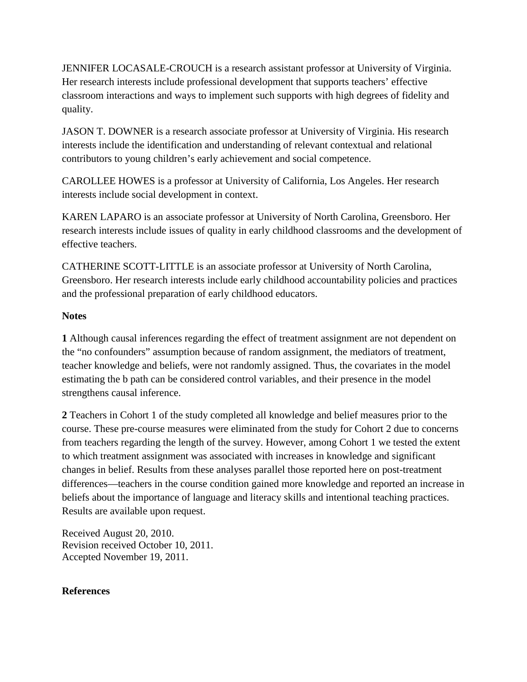JENNIFER LOCASALE-CROUCH is a research assistant professor at University of Virginia. Her research interests include professional development that supports teachers' effective classroom interactions and ways to implement such supports with high degrees of fidelity and quality.

JASON T. DOWNER is a research associate professor at University of Virginia. His research interests include the identification and understanding of relevant contextual and relational contributors to young children's early achievement and social competence.

CAROLLEE HOWES is a professor at University of California, Los Angeles. Her research interests include social development in context.

KAREN LAPARO is an associate professor at University of North Carolina, Greensboro. Her research interests include issues of quality in early childhood classrooms and the development of effective teachers.

CATHERINE SCOTT-LITTLE is an associate professor at University of North Carolina, Greensboro. Her research interests include early childhood accountability policies and practices and the professional preparation of early childhood educators.

## **Notes**

**1** Although causal inferences regarding the effect of treatment assignment are not dependent on the "no confounders" assumption because of random assignment, the mediators of treatment, teacher knowledge and beliefs, were not randomly assigned. Thus, the covariates in the model estimating the b path can be considered control variables, and their presence in the model strengthens causal inference.

**2** Teachers in Cohort 1 of the study completed all knowledge and belief measures prior to the course. These pre-course measures were eliminated from the study for Cohort 2 due to concerns from teachers regarding the length of the survey. However, among Cohort 1 we tested the extent to which treatment assignment was associated with increases in knowledge and significant changes in belief. Results from these analyses parallel those reported here on post-treatment differences—teachers in the course condition gained more knowledge and reported an increase in beliefs about the importance of language and literacy skills and intentional teaching practices. Results are available upon request.

Received August 20, 2010. Revision received October 10, 2011. Accepted November 19, 2011.

## **References**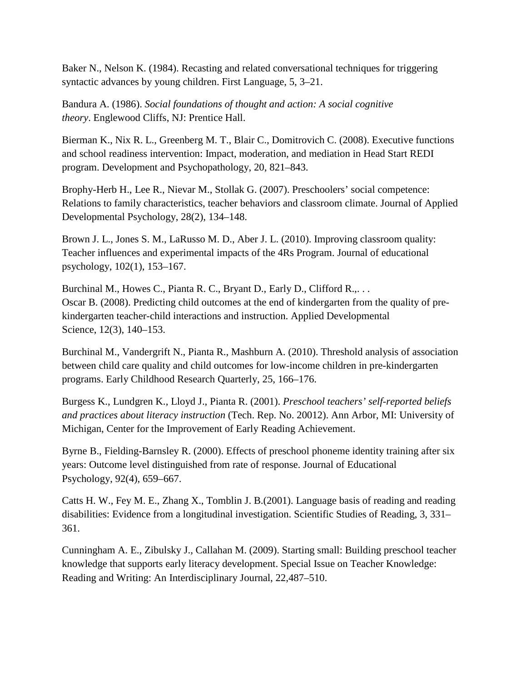Baker N., Nelson K. (1984). Recasting and related conversational techniques for triggering syntactic advances by young children. First Language, 5, 3–21.

Bandura A. (1986). *Social foundations of thought and action: A social cognitive theory*. Englewood Cliffs, NJ: Prentice Hall.

Bierman K., Nix R. L., Greenberg M. T., Blair C., Domitrovich C. (2008). Executive functions and school readiness intervention: Impact, moderation, and mediation in Head Start REDI program. Development and Psychopathology, 20, 821–843.

Brophy-Herb H., Lee R., Nievar M., Stollak G. (2007). Preschoolers' social competence: Relations to family characteristics, teacher behaviors and classroom climate. Journal of Applied Developmental Psychology, 28(2), 134–148.

Brown J. L., Jones S. M., LaRusso M. D., Aber J. L. (2010). Improving classroom quality: Teacher influences and experimental impacts of the 4Rs Program. Journal of educational psychology, 102(1), 153–167.

Burchinal M., Howes C., Pianta R. C., Bryant D., Early D., Clifford R.,.. Oscar B. (2008). Predicting child outcomes at the end of kindergarten from the quality of prekindergarten teacher-child interactions and instruction. Applied Developmental Science, 12(3), 140–153.

Burchinal M., Vandergrift N., Pianta R., Mashburn A. (2010). Threshold analysis of association between child care quality and child outcomes for low-income children in pre-kindergarten programs. Early Childhood Research Quarterly, 25, 166–176.

Burgess K., Lundgren K., Lloyd J., Pianta R. (2001). *Preschool teachers' self-reported beliefs and practices about literacy instruction* (Tech. Rep. No. 20012). Ann Arbor, MI: University of Michigan, Center for the Improvement of Early Reading Achievement.

Byrne B., Fielding-Barnsley R. (2000). Effects of preschool phoneme identity training after six years: Outcome level distinguished from rate of response. Journal of Educational Psychology, 92(4), 659–667.

Catts H. W., Fey M. E., Zhang X., Tomblin J. B.(2001). Language basis of reading and reading disabilities: Evidence from a longitudinal investigation. Scientific Studies of Reading, 3, 331– 361.

Cunningham A. E., Zibulsky J., Callahan M. (2009). Starting small: Building preschool teacher knowledge that supports early literacy development. Special Issue on Teacher Knowledge: Reading and Writing: An Interdisciplinary Journal, 22,487–510.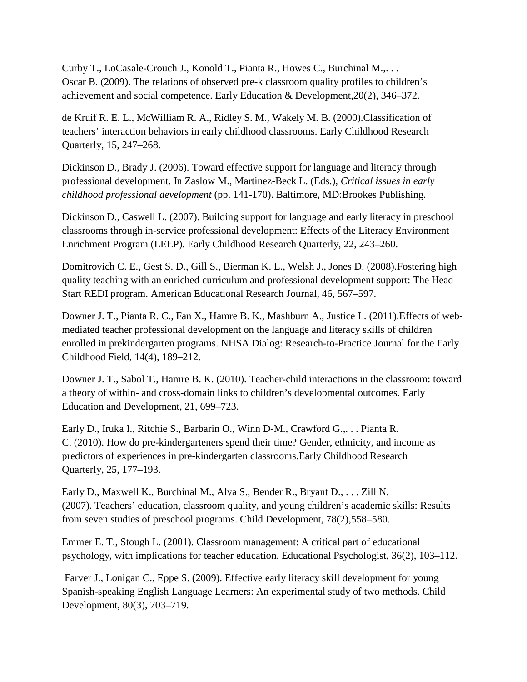Curby T., LoCasale-Crouch J., Konold T., Pianta R., Howes C., Burchinal M.,. . . Oscar B. (2009). The relations of observed pre-k classroom quality profiles to children's achievement and social competence. Early Education & Development,20(2), 346–372.

de Kruif R. E. L., McWilliam R. A., Ridley S. M., Wakely M. B. (2000).Classification of teachers' interaction behaviors in early childhood classrooms. Early Childhood Research Quarterly, 15, 247–268.

Dickinson D., Brady J. (2006). Toward effective support for language and literacy through professional development. In Zaslow M., Martinez-Beck L. (Eds.), *Critical issues in early childhood professional development* (pp. 141-170). Baltimore, MD:Brookes Publishing.

Dickinson D., Caswell L. (2007). Building support for language and early literacy in preschool classrooms through in-service professional development: Effects of the Literacy Environment Enrichment Program (LEEP). Early Childhood Research Quarterly, 22, 243–260.

Domitrovich C. E., Gest S. D., Gill S., Bierman K. L., Welsh J., Jones D. (2008).Fostering high quality teaching with an enriched curriculum and professional development support: The Head Start REDI program. American Educational Research Journal, 46, 567–597.

Downer J. T., Pianta R. C., Fan X., Hamre B. K., Mashburn A., Justice L. (2011).Effects of webmediated teacher professional development on the language and literacy skills of children enrolled in prekindergarten programs. NHSA Dialog: Research-to-Practice Journal for the Early Childhood Field, 14(4), 189–212.

Downer J. T., Sabol T., Hamre B. K. (2010). Teacher-child interactions in the classroom: toward a theory of within- and cross-domain links to children's developmental outcomes. Early Education and Development, 21, 699–723.

Early D., Iruka I., Ritchie S., Barbarin O., Winn D-M., Crawford G.,. . . Pianta R. C. (2010). How do pre-kindergarteners spend their time? Gender, ethnicity, and income as predictors of experiences in pre-kindergarten classrooms.Early Childhood Research Quarterly, 25, 177–193.

Early D., Maxwell K., Burchinal M., Alva S., Bender R., Bryant D., . . . Zill N. (2007). Teachers' education, classroom quality, and young children's academic skills: Results from seven studies of preschool programs. Child Development, 78(2),558–580.

Emmer E. T., Stough L. (2001). Classroom management: A critical part of educational psychology, with implications for teacher education. Educational Psychologist, 36(2), 103–112.

Farver J., Lonigan C., Eppe S. (2009). Effective early literacy skill development for young Spanish-speaking English Language Learners: An experimental study of two methods. Child Development, 80(3), 703–719.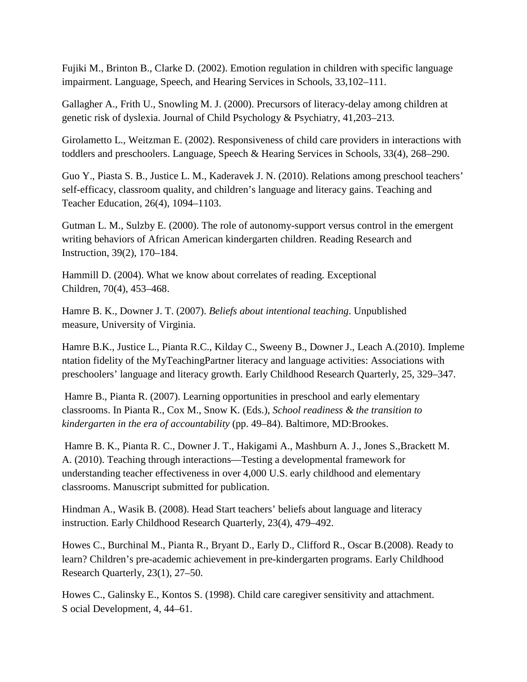Fujiki M., Brinton B., Clarke D. (2002). Emotion regulation in children with specific language impairment. Language, Speech, and Hearing Services in Schools, 33,102–111.

Gallagher A., Frith U., Snowling M. J. (2000). Precursors of literacy-delay among children at genetic risk of dyslexia. Journal of Child Psychology & Psychiatry, 41,203–213.

Girolametto L., Weitzman E. (2002). Responsiveness of child care providers in interactions with toddlers and preschoolers. Language, Speech & Hearing Services in Schools, 33(4), 268–290.

Guo Y., Piasta S. B., Justice L. M., Kaderavek J. N. (2010). Relations among preschool teachers' self-efficacy, classroom quality, and children's language and literacy gains. Teaching and Teacher Education, 26(4), 1094–1103.

Gutman L. M., Sulzby E. (2000). The role of autonomy-support versus control in the emergent writing behaviors of African American kindergarten children. Reading Research and Instruction, 39(2), 170–184.

Hammill D. (2004). What we know about correlates of reading. Exceptional Children, 70(4), 453–468.

Hamre B. K., Downer J. T. (2007). *Beliefs about intentional teaching*. Unpublished measure, University of Virginia.

Hamre B.K., Justice L., Pianta R.C., Kilday C., Sweeny B., Downer J., Leach A.(2010). Impleme ntation fidelity of the MyTeachingPartner literacy and language activities: Associations with preschoolers' language and literacy growth. Early Childhood Research Quarterly, 25, 329–347.

Hamre B., Pianta R. (2007). Learning opportunities in preschool and early elementary classrooms. In Pianta R., Cox M., Snow K. (Eds.), *School readiness & the transition to kindergarten in the era of accountability* (pp. 49–84). Baltimore, MD:Brookes.

Hamre B. K., Pianta R. C., Downer J. T., Hakigami A., Mashburn A. J., Jones S.,Brackett M. A. (2010). Teaching through interactions—Testing a developmental framework for understanding teacher effectiveness in over 4,000 U.S. early childhood and elementary classrooms. Manuscript submitted for publication.

Hindman A., Wasik B. (2008). Head Start teachers' beliefs about language and literacy instruction. Early Childhood Research Quarterly, 23(4), 479–492.

Howes C., Burchinal M., Pianta R., Bryant D., Early D., Clifford R., Oscar B.(2008). Ready to learn? Children's pre-academic achievement in pre-kindergarten programs. Early Childhood Research Quarterly, 23(1), 27–50.

Howes C., Galinsky E., Kontos S. (1998). Child care caregiver sensitivity and attachment. S ocial Development, 4, 44–61.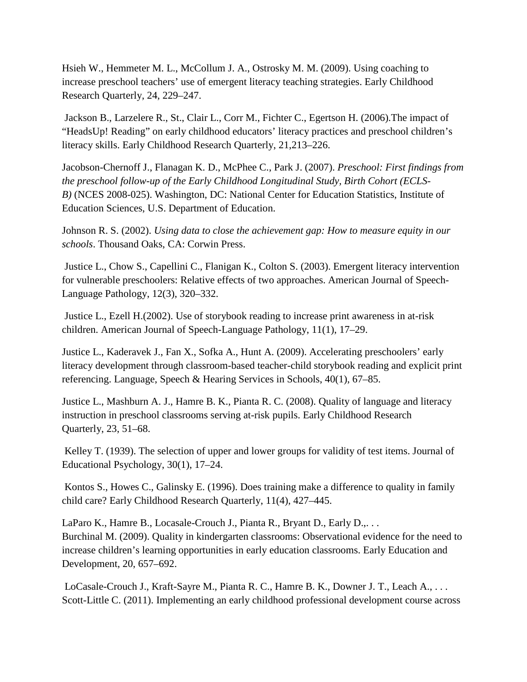Hsieh W., Hemmeter M. L., McCollum J. A., Ostrosky M. M. (2009). Using coaching to increase preschool teachers' use of emergent literacy teaching strategies. Early Childhood Research Quarterly, 24, 229–247.

Jackson B., Larzelere R., St., Clair L., Corr M., Fichter C., Egertson H. (2006).The impact of "HeadsUp! Reading" on early childhood educators' literacy practices and preschool children's literacy skills. Early Childhood Research Quarterly, 21,213–226.

Jacobson-Chernoff J., Flanagan K. D., McPhee C., Park J. (2007). *Preschool: First findings from the preschool follow-up of the Early Childhood Longitudinal Study, Birth Cohort (ECLS-B)* (NCES 2008-025). Washington, DC: National Center for Education Statistics, Institute of Education Sciences, U.S. Department of Education.

Johnson R. S. (2002). *Using data to close the achievement gap: How to measure equity in our schools*. Thousand Oaks, CA: Corwin Press.

Justice L., Chow S., Capellini C., Flanigan K., Colton S. (2003). Emergent literacy intervention for vulnerable preschoolers: Relative effects of two approaches. American Journal of Speech-Language Pathology, 12(3), 320–332.

Justice L., Ezell H.(2002). Use of storybook reading to increase print awareness in at-risk children. American Journal of Speech-Language Pathology, 11(1), 17–29.

Justice L., Kaderavek J., Fan X., Sofka A., Hunt A. (2009). Accelerating preschoolers' early literacy development through classroom-based teacher-child storybook reading and explicit print referencing. Language, Speech & Hearing Services in Schools, 40(1), 67–85.

Justice L., Mashburn A. J., Hamre B. K., Pianta R. C. (2008). Quality of language and literacy instruction in preschool classrooms serving at-risk pupils. Early Childhood Research Quarterly, 23, 51–68.

Kelley T. (1939). The selection of upper and lower groups for validity of test items. Journal of Educational Psychology, 30(1), 17–24.

Kontos S., Howes C., Galinsky E. (1996). Does training make a difference to quality in family child care? Early Childhood Research Quarterly, 11(4), 427–445.

LaParo K., Hamre B., Locasale-Crouch J., Pianta R., Bryant D., Early D.,.. Burchinal M. (2009). Quality in kindergarten classrooms: Observational evidence for the need to increase children's learning opportunities in early education classrooms. Early Education and Development, 20, 657–692.

LoCasale-Crouch J., Kraft-Sayre M., Pianta R. C., Hamre B. K., Downer J. T., Leach A., . . . Scott-Little C. (2011). Implementing an early childhood professional development course across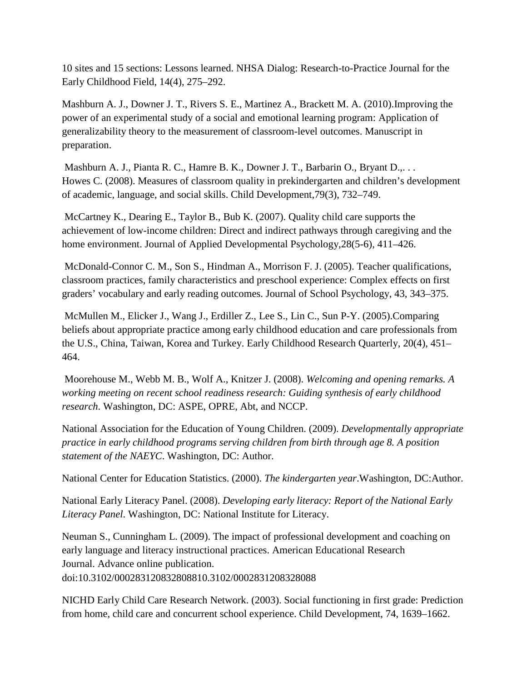10 sites and 15 sections: Lessons learned. NHSA Dialog: Research-to-Practice Journal for the Early Childhood Field, 14(4), 275–292.

Mashburn A. J., Downer J. T., Rivers S. E., Martinez A., Brackett M. A. (2010).Improving the power of an experimental study of a social and emotional learning program: Application of generalizability theory to the measurement of classroom-level outcomes. Manuscript in preparation.

Mashburn A. J., Pianta R. C., Hamre B. K., Downer J. T., Barbarin O., Bryant D.,. . . Howes C. (2008). Measures of classroom quality in prekindergarten and children's development of academic, language, and social skills. Child Development,79(3), 732–749.

McCartney K., Dearing E., Taylor B., Bub K. (2007). Quality child care supports the achievement of low-income children: Direct and indirect pathways through caregiving and the home environment. Journal of Applied Developmental Psychology,28(5-6), 411–426.

McDonald-Connor C. M., Son S., Hindman A., Morrison F. J. (2005). Teacher qualifications, classroom practices, family characteristics and preschool experience: Complex effects on first graders' vocabulary and early reading outcomes. Journal of School Psychology, 43, 343–375.

McMullen M., Elicker J., Wang J., Erdiller Z., Lee S., Lin C., Sun P-Y. (2005).Comparing beliefs about appropriate practice among early childhood education and care professionals from the U.S., China, Taiwan, Korea and Turkey. Early Childhood Research Quarterly, 20(4), 451– 464.

Moorehouse M., Webb M. B., Wolf A., Knitzer J. (2008). *Welcoming and opening remarks. A working meeting on recent school readiness research: Guiding synthesis of early childhood research*. Washington, DC: ASPE, OPRE, Abt, and NCCP.

National Association for the Education of Young Children. (2009). *Developmentally appropriate practice in early childhood programs serving children from birth through age 8. A position statement of the NAEYC*. Washington, DC: Author.

National Center for Education Statistics. (2000). *The kindergarten year*.Washington, DC:Author.

National Early Literacy Panel. (2008). *Developing early literacy: Report of the National Early Literacy Panel*. Washington, DC: National Institute for Literacy.

Neuman S., Cunningham L. (2009). The impact of professional development and coaching on early language and literacy instructional practices. American Educational Research Journal. Advance online publication. doi:10.3102/000283120832808810.3102/0002831208328088

NICHD Early Child Care Research Network. (2003). Social functioning in first grade: Prediction from home, child care and concurrent school experience. Child Development, 74, 1639–1662.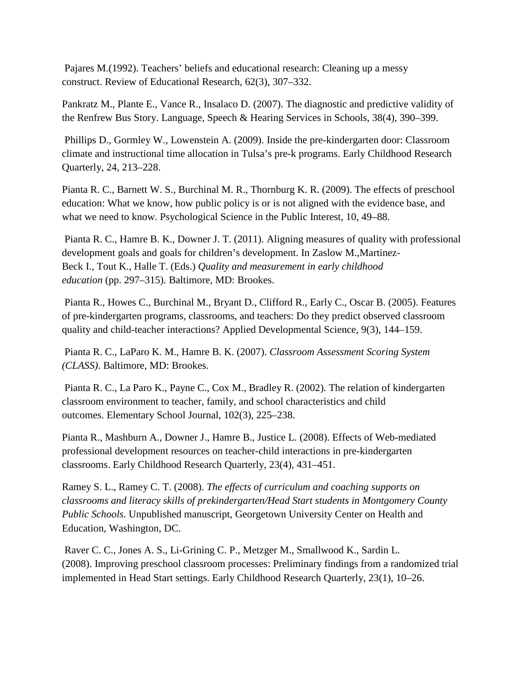Pajares M.(1992). Teachers' beliefs and educational research: Cleaning up a messy construct. Review of Educational Research, 62(3), 307–332.

Pankratz M., Plante E., Vance R., Insalaco D. (2007). The diagnostic and predictive validity of the Renfrew Bus Story. Language, Speech & Hearing Services in Schools, 38(4), 390–399.

Phillips D., Gormley W., Lowenstein A. (2009). Inside the pre-kindergarten door: Classroom climate and instructional time allocation in Tulsa's pre-k programs. Early Childhood Research Quarterly, 24, 213–228.

Pianta R. C., Barnett W. S., Burchinal M. R., Thornburg K. R. (2009). The effects of preschool education: What we know, how public policy is or is not aligned with the evidence base, and what we need to know. Psychological Science in the Public Interest, 10, 49–88.

Pianta R. C., Hamre B. K., Downer J. T. (2011). Aligning measures of quality with professional development goals and goals for children's development. In Zaslow M.,Martinez-Beck I., Tout K., Halle T. (Eds.) *Quality and measurement in early childhood education* (pp. 297–315). Baltimore, MD: Brookes.

Pianta R., Howes C., Burchinal M., Bryant D., Clifford R., Early C., Oscar B. (2005). Features of pre-kindergarten programs, classrooms, and teachers: Do they predict observed classroom quality and child-teacher interactions? Applied Developmental Science, 9(3), 144–159.

Pianta R. C., LaParo K. M., Hamre B. K. (2007). *Classroom Assessment Scoring System (CLASS)*. Baltimore, MD: Brookes.

Pianta R. C., La Paro K., Payne C., Cox M., Bradley R. (2002). The relation of kindergarten classroom environment to teacher, family, and school characteristics and child outcomes. Elementary School Journal, 102(3), 225–238.

Pianta R., Mashburn A., Downer J., Hamre B., Justice L. (2008). Effects of Web-mediated professional development resources on teacher-child interactions in pre-kindergarten classrooms. Early Childhood Research Quarterly, 23(4), 431–451.

Ramey S. L., Ramey C. T. (2008). *The effects of curriculum and coaching supports on classrooms and literacy skills of prekindergarten/Head Start students in Montgomery County Public Schools*. Unpublished manuscript, Georgetown University Center on Health and Education, Washington, DC.

Raver C. C., Jones A. S., Li-Grining C. P., Metzger M., Smallwood K., Sardin L. (2008). Improving preschool classroom processes: Preliminary findings from a randomized trial implemented in Head Start settings. Early Childhood Research Quarterly, 23(1), 10–26.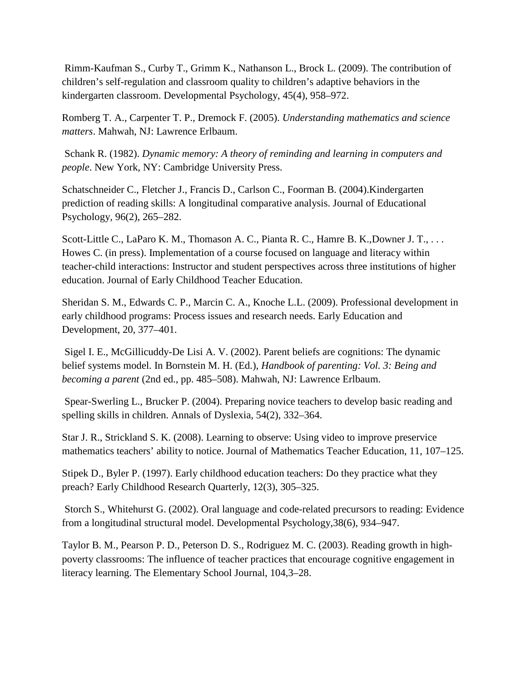Rimm-Kaufman S., Curby T., Grimm K., Nathanson L., Brock L. (2009). The contribution of children's self-regulation and classroom quality to children's adaptive behaviors in the kindergarten classroom. Developmental Psychology, 45(4), 958–972.

Romberg T. A., Carpenter T. P., Dremock F. (2005). *Understanding mathematics and science matters*. Mahwah, NJ: Lawrence Erlbaum.

Schank R. (1982). *Dynamic memory: A theory of reminding and learning in computers and people*. New York, NY: Cambridge University Press.

Schatschneider C., Fletcher J., Francis D., Carlson C., Foorman B. (2004).Kindergarten prediction of reading skills: A longitudinal comparative analysis. Journal of Educational Psychology, 96(2), 265–282.

Scott-Little C., LaParo K. M., Thomason A. C., Pianta R. C., Hamre B. K., Downer J. T., . . . Howes C. (in press). Implementation of a course focused on language and literacy within teacher-child interactions: Instructor and student perspectives across three institutions of higher education. Journal of Early Childhood Teacher Education.

Sheridan S. M., Edwards C. P., Marcin C. A., Knoche L.L. (2009). Professional development in early childhood programs: Process issues and research needs. Early Education and Development, 20, 377–401.

Sigel I. E., McGillicuddy-De Lisi A. V. (2002). Parent beliefs are cognitions: The dynamic belief systems model. In Bornstein M. H. (Ed.), *Handbook of parenting: Vol. 3: Being and becoming a parent* (2nd ed., pp. 485–508). Mahwah, NJ: Lawrence Erlbaum.

Spear-Swerling L., Brucker P. (2004). Preparing novice teachers to develop basic reading and spelling skills in children. Annals of Dyslexia, 54(2), 332–364.

Star J. R., Strickland S. K. (2008). Learning to observe: Using video to improve preservice mathematics teachers' ability to notice. Journal of Mathematics Teacher Education, 11, 107–125.

Stipek D., Byler P. (1997). Early childhood education teachers: Do they practice what they preach? Early Childhood Research Quarterly, 12(3), 305–325.

Storch S., Whitehurst G. (2002). Oral language and code-related precursors to reading: Evidence from a longitudinal structural model. Developmental Psychology,38(6), 934–947.

Taylor B. M., Pearson P. D., Peterson D. S., Rodriguez M. C. (2003). Reading growth in highpoverty classrooms: The influence of teacher practices that encourage cognitive engagement in literacy learning. The Elementary School Journal, 104,3–28.